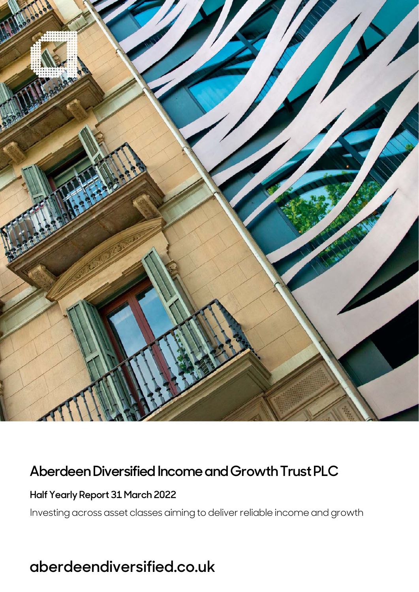

## **Aberdeen Diversified Income and Growth Trust PLC**

## **Half Yearly Report 31 March 2022**

Investing across asset classes aiming to deliver reliable income and growth

## **aberdeendiversified.co.uk**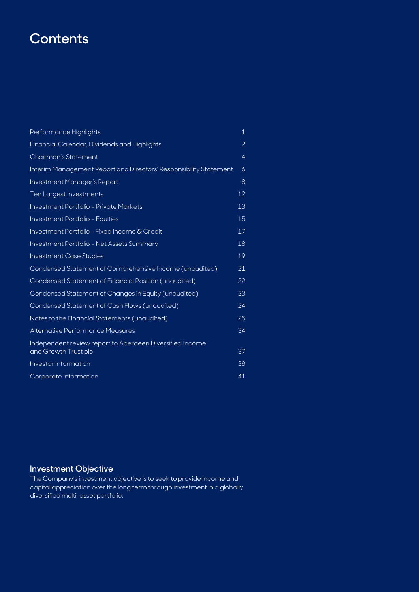## **Contents**

| Performance Highlights                                                           | 1              |
|----------------------------------------------------------------------------------|----------------|
| Financial Calendar, Dividends and Highlights                                     | $\overline{c}$ |
| Chairman's Statement                                                             | 4              |
| Interim Management Report and Directors' Responsibility Statement                | 6              |
| Investment Manager's Report                                                      | 8              |
| Ten Largest Investments                                                          | 12             |
| Investment Portfolio - Private Markets                                           | 13             |
| Investment Portfolio - Equities                                                  | 15             |
| Investment Portfolio - Fixed Income & Credit                                     | 17             |
| Investment Portfolio - Net Assets Summary                                        | 18             |
| <b>Investment Case Studies</b>                                                   | 19             |
| Condensed Statement of Comprehensive Income (unaudited)                          | 21             |
| Condensed Statement of Financial Position (unaudited)                            | 22             |
| Condensed Statement of Changes in Equity (unaudited)                             | 23             |
| Condensed Statement of Cash Flows (unaudited)                                    | 24             |
| Notes to the Financial Statements (unaudited)                                    | 25             |
| Alternative Performance Measures                                                 | 34             |
| Independent review report to Aberdeen Diversified Income<br>and Growth Trust plc | 37             |
| Investor Information                                                             | 38             |
| Corporate Information                                                            | 41             |

## **Investment Objective**

The Company's investment objective is to seek to provide income and capital appreciation over the long term through investment in a globally diversified multi-asset portfolio.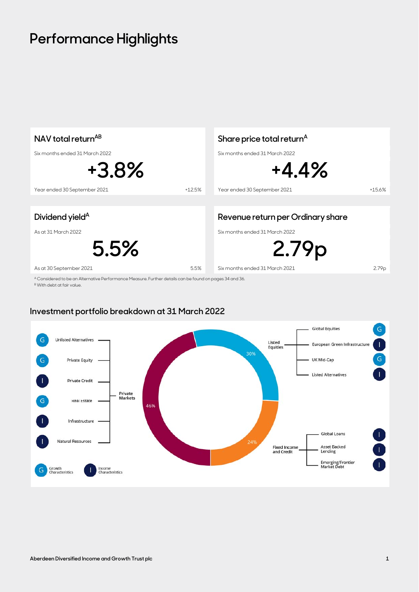## **Performance Highlights**



A Considered to be an Alternative Performance Measure. Further details can be found on pages 34 and 36.

B With debt at fair value.

### **Investment portfolio breakdown at 31 March 2022**

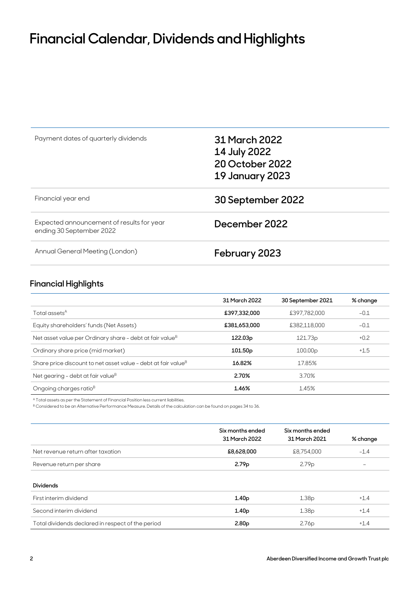## **Financial Calendar, Dividends and Highlights**

| Payment dates of quarterly dividends                                  | 31 March 2022<br>14 July 2022<br>20 October 2022<br><b>19 January 2023</b> |
|-----------------------------------------------------------------------|----------------------------------------------------------------------------|
| Financial year end                                                    | 30 September 2022                                                          |
| Expected announcement of results for year<br>ending 30 September 2022 | December 2022                                                              |
| Annual General Meeting (London)                                       | February 2023                                                              |

## **Financial Highlights**

|                                                                           | 31 March 2022       | 30 September 2021   | % change |
|---------------------------------------------------------------------------|---------------------|---------------------|----------|
| Total assets <sup>A</sup>                                                 | £397.332.000        | £397.782.000        | $-0.1$   |
| Equity shareholders' funds (Net Assets)                                   | £381,653,000        | £382.118.000        | $-0.1$   |
| Net asset value per Ordinary share - debt at fair value <sup>B</sup>      | 122.03 <sub>p</sub> | 121.73 <sub>p</sub> | $+0.2$   |
| Ordinary share price (mid market)                                         | 101.50 <sub>p</sub> | 100.00 <sub>p</sub> | $+1.5$   |
| Share price discount to net asset value - debt at fair value <sup>B</sup> | 16.82%              | 17.85%              |          |
| Net gearing - debt at fair value <sup>B</sup>                             | 2.70%               | 3.70%               |          |
| Ongoing charges ratio <sup>B</sup>                                        | 1.46%               | 1.45%               |          |

A Total assets as per the Statement of Financial Position less current liabilities.

B Considered to be an Alternative Performance Measure. Details of the calculation can be found on pages 34 to 36.

| 31 March 2022     | 31 March 2021     | % change         |
|-------------------|-------------------|------------------|
| £8,628,000        | £8,754,000        | $-1.4$           |
| 2.79 <sub>p</sub> | 2.79 <sub>p</sub> |                  |
|                   |                   |                  |
| 1.40 <sub>p</sub> | 1.38 <sub>p</sub> | $+1.4$           |
| 1.40 <sub>p</sub> | 1.38 <sub>p</sub> | $+1.4$           |
| 2.80 <sub>p</sub> | 2.76p             | $+1.4$           |
|                   | Six months ended  | Six months ended |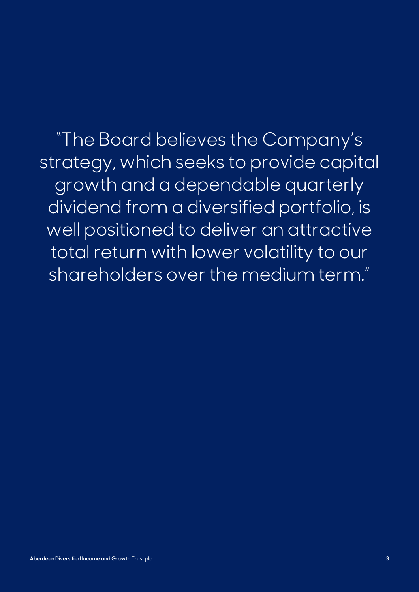"The Board believes the Company's strategy, which seeks to provide capital growth and a dependable quarterly dividend from a diversified portfolio, is well positioned to deliver an attractive total return with lower volatility to our shareholders over the medium term."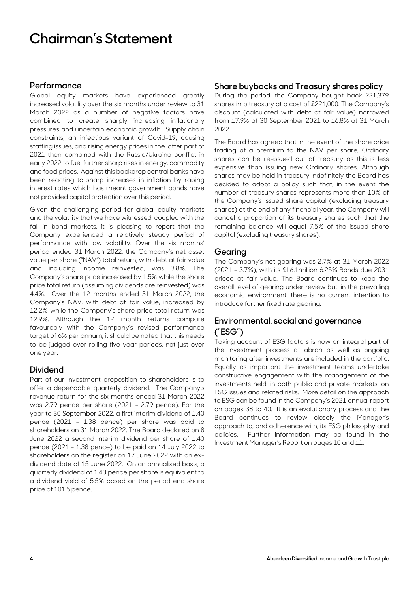## **Chairman's Statement**

#### **Performance**

Global equity markets have experienced greatly increased volatility over the six months under review to 31 March 2022 as a number of negative factors have combined to create sharply increasing inflationary pressures and uncertain economic growth. Supply chain constraints, an infectious variant of Covid-19, causing staffing issues, and rising energy prices in the latter part of 2021 then combined with the Russia/Ukraine conflict in early 2022 to fuel further sharp rises in energy, commodity and food prices. Against this backdrop central banks have been reacting to sharp increases in inflation by raising interest rates which has meant government bonds have not provided capital protection over this period.

Given the challenging period for global equity markets and the volatility that we have witnessed, coupled with the fall in bond markets, it is pleasing to report that the Company experienced a relatively steady period of performance with low volatility. Over the six months' period ended 31 March 2022, the Company's net asset value per share ("NAV") total return, with debt at fair value and including income reinvested, was 3.8%. The Company's share price increased by 1.5% while the share price total return (assuming dividends are reinvested) was 4.4%. Over the 12 months ended 31 March 2022, the Company's NAV, with debt at fair value, increased by 12.2% while the Company's share price total return was 12.9%. Although the 12 month returns compare favourably with the Company's revised performance target of 6% per annum, it should be noted that this needs to be judged over rolling five year periods, not just over one year.

#### **Dividend**

Part of our investment proposition to shareholders is to offer a dependable quarterly dividend. The Company's revenue return for the six months ended 31 March 2022 was 2.79 pence per share (2021 - 2.79 pence). For the year to 30 September 2022, a first interim dividend of 1.40 pence (2021 - 1.38 pence) per share was paid to shareholders on 31 March 2022. The Board declared on 8 June 2022 a second interim dividend per share of 1.40 pence (2021 - 1.38 pence) to be paid on 14 July 2022 to shareholders on the register on 17 June 2022 with an exdividend date of 15 June 2022. On an annualised basis, a quarterly dividend of 1.40 pence per share is equivalent to a dividend yield of 5.5% based on the period end share price of 101.5 pence.

#### **Share buybacks and Treasury shares policy**

During the period, the Company bought back 221,379 shares into treasury at a cost of £221,000. The Company's discount (calculated with debt at fair value) narrowed from 17.9% at 30 September 2021 to 16.8% at 31 March 2022.

The Board has agreed that in the event of the share price trading at a premium to the NAV per share, Ordinary shares can be re-issued out of treasury as this is less expensive than issuing new Ordinary shares. Although shares may be held in treasury indefinitely the Board has decided to adopt a policy such that, in the event the number of treasury shares represents more than 10% of the Company's issued share capital (excluding treasury shares) at the end of any financial year, the Company will cancel a proportion of its treasury shares such that the remaining balance will equal 7.5% of the issued share capital (excluding treasury shares).

#### **Gearing**

The Company's net gearing was 2.7% at 31 March 2022 (2021 - 3.7%), with its £16.1million 6.25% Bonds due 2031 priced at fair value. The Board continues to keep the overall level of gearing under review but, in the prevailing economic environment, there is no current intention to introduce further fixed rate gearing.

### **Environmental, social and governance ("ESG")**

Taking account of ESG factors is now an integral part of the investment process at abrdn as well as ongoing monitoring after investments are included in the portfolio. Equally as important the investment teams undertake constructive engagement with the management of the investments held, in both public and private markets, on ESG issues and related risks. More detail on the approach to ESG can be found in the Company's 2021 annual report on pages 38 to 40. It is an evolutionary process and the Board continues to review closely the Manager's approach to, and adherence with, its ESG philosophy and policies. Further information may be found in the Investment Manager's Report on pages 10 and 11.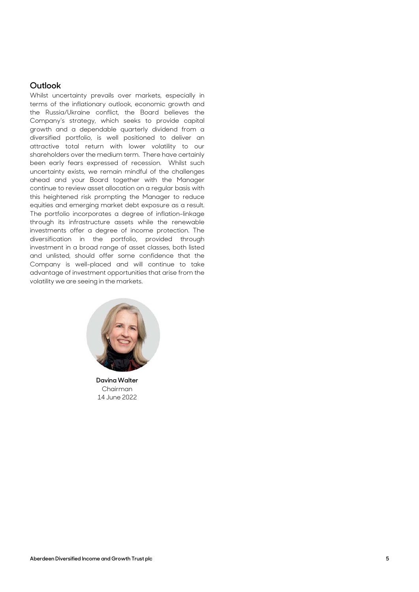#### **Outlook**

Whilst uncertainty prevails over markets, especially in terms of the inflationary outlook, economic growth and the Russia/Ukraine conflict, the Board believes the Company's strategy, which seeks to provide capital growth and a dependable quarterly dividend from a diversified portfolio, is well positioned to deliver an attractive total return with lower volatility to our shareholders over the medium term. There have certainly been early fears expressed of recession. Whilst such uncertainty exists, we remain mindful of the challenges ahead and your Board together with the Manager continue to review asset allocation on a regular basis with this heightened risk prompting the Manager to reduce equities and emerging market debt exposure as a result. The portfolio incorporates a degree of inflation-linkage through its infrastructure assets while the renewable investments offer a degree of income protection. The diversification in the portfolio, provided through investment in a broad range of asset classes, both listed and unlisted, should offer some confidence that the Company is well-placed and will continue to take advantage of investment opportunities that arise from the volatility we are seeing in the markets.



**Davina Walter** Chairman 14 June 2022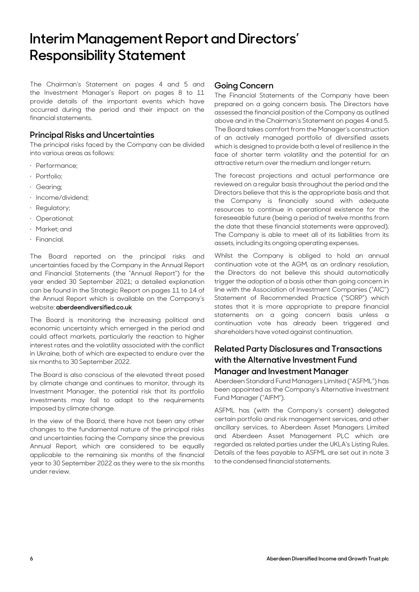## **Interim Management Report and Directors' Responsibility Statement**

The Chairman's Statement on pages 4 and 5 and the Investment Manager's Report on pages 8 to 11 provide details of the important events which have occurred during the period and their impact on the financial statements.

### **Principal Risks and Uncertainties**

The principal risks faced by the Company can be divided into various areas as follows:

- · Performance;
- · Portfolio;
- · Gearing;
- · Income/dividend;
- · Regulatory;
- · Operational;
- · Market; and
- · Financial.

The Board reported on the principal risks and uncertainties faced by the Company in the Annual Report and Financial Statements (the "Annual Report") for the year ended 30 September 2021; a detailed explanation can be found in the Strategic Report on pages 11 to 14 of the Annual Report which is available on the Company's website: **aberdeendiversified.co.uk**

The Board is monitoring the increasing political and economic uncertainty which emerged in the period and could affect markets, particularly the reaction to higher interest rates and the volatility associated with the conflict in Ukraine, both of which are expected to endure over the six months to 30 September 2022.

The Board is also conscious of the elevated threat posed by climate change and continues to monitor, through its Investment Manager, the potential risk that its portfolio investments may fail to adapt to the requirements imposed by climate change.

In the view of the Board, there have not been any other changes to the fundamental nature of the principal risks and uncertainties facing the Company since the previous Annual Report, which are considered to be equally applicable to the remaining six months of the financial year to 30 September 2022 as they were to the six months under review.

#### **Going Concern**

The Financial Statements of the Company have been prepared on a going concern basis. The Directors have assessed the financial position of the Company as outlined above and in the Chairman's Statement on pages 4 and 5. The Board takes comfort from the Manager's construction of an actively managed portfolio of diversified assets which is designed to provide both a level of resilience in the face of shorter term volatility and the potential for an attractive return over the medium and longer return.

The forecast projections and actual performance are reviewed on a regular basis throughout the period and the Directors believe that this is the appropriate basis and that the Company is financially sound with adequate resources to continue in operational existence for the foreseeable future (being a period of twelve months from the date that these financial statements were approved). The Company is able to meet all of its liabilities from its assets, including its ongoing operating expenses.

Whilst the Company is obliged to hold an annual continuation vote at the AGM, as an ordinary resolution, the Directors do not believe this should automatically trigger the adoption of a basis other than going concern in line with the Association of Investment Companies ("AIC") Statement of Recommended Practice ("SORP") which states that it is more appropriate to prepare financial statements on a going concern basis unless a continuation vote has already been triggered and shareholders have voted against continuation.

### **Related Party Disclosures and Transactions with the Alternative Investment Fund Manager and Investment Manager**

Aberdeen Standard Fund Managers Limited ("ASFML") has been appointed as the Company's Alternative Investment Fund Manager ("AIFM").

ASFML has (with the Company's consent) delegated certain portfolio and risk management services, and other ancillary services, to Aberdeen Asset Managers Limited and Aberdeen Asset Management PLC which are regarded as related parties under the UKLA's Listing Rules. Details of the fees payable to ASFML are set out in note 3 to the condensed financial statements.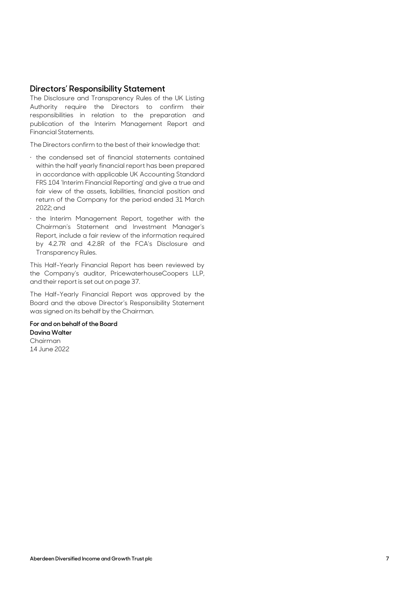#### **Directors' Responsibility Statement**

The Disclosure and Transparency Rules of the UK Listing Authority require the Directors to confirm their responsibilities in relation to the preparation and publication of the Interim Management Report and Financial Statements.

The Directors confirm to the best of their knowledge that:

- · the condensed set of financial statements contained within the half yearly financial report has been prepared in accordance with applicable UK Accounting Standard FRS 104 'Interim Financial Reporting' and give a true and fair view of the assets, liabilities, financial position and return of the Company for the period ended 31 March 2022; and
- · the Interim Management Report, together with the Chairman's Statement and Investment Manager's Report, include a fair review of the information required by 4.2.7R and 4.2.8R of the FCA's Disclosure and Transparency Rules.

This Half-Yearly Financial Report has been reviewed by the Company's auditor, PricewaterhouseCoopers LLP, and their report is set out on page 37.

The Half-Yearly Financial Report was approved by the Board and the above Director's Responsibility Statement was signed on its behalf by the Chairman.

**For and on behalf of the Board Davina Walter** Chairman 14 June 2022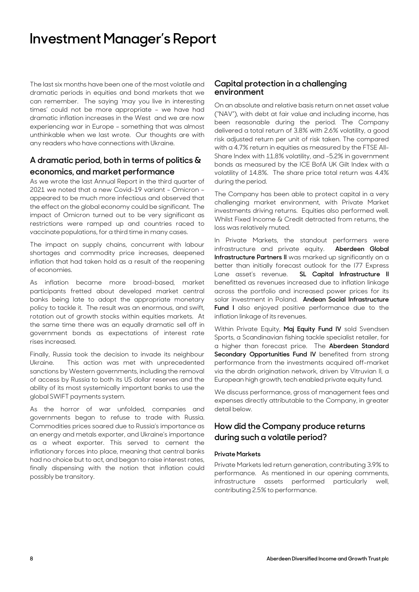## **Investment Manager's Report**

The last six months have been one of the most volatile and dramatic periods in equities and bond markets that we can remember. The saying 'may you live in interesting times' could not be more appropriate – we have had dramatic inflation increases in the West and we are now experiencing war in Europe – something that was almost unthinkable when we last wrote. Our thoughts are with any readers who have connections with Ukraine.

### **A dramatic period, both in terms of politics & economics, and market performance**

As we wrote the last Annual Report in the third quarter of 2021 we noted that a new Covid-19 variant - Omicron appeared to be much more infectious and observed that the effect on the global economy could be significant. The impact of Omicron turned out to be very significant as restrictions were ramped up and countries raced to vaccinate populations, for a third time in many cases.

The impact on supply chains, concurrent with labour shortages and commodity price increases, deepened inflation that had taken hold as a result of the reopening of economies.

As inflation became more broad-based, market participants fretted about developed market central banks being late to adopt the appropriate monetary policy to tackle it. The result was an enormous, and swift, rotation out of growth stocks within equities markets. At the same time there was an equally dramatic sell off in government bonds as expectations of interest rate rises increased.

Finally, Russia took the decision to invade its neighbour Ukraine. This action was met with unprecedented sanctions by Western governments, including the removal of access by Russia to both its US dollar reserves and the ability of its most systemically important banks to use the global SWIFT payments system.

As the horror of war unfolded, companies and governments began to refuse to trade with Russia. Commodities prices soared due to Russia's importance as an energy and metals exporter, and Ukraine's importance as a wheat exporter. This served to cement the inflationary forces into place, meaning that central banks had no choice but to act, and began to raise interest rates, finally dispensing with the notion that inflation could possibly be transitory.

#### **Capital protection in a challenging environment**

On an absolute and relative basis return on net asset value ("NAV"), with debt at fair value and including income, has been reasonable during the period. The Company delivered a total return of 3.8% with 2.6% volatility, a good risk adjusted return per unit of risk taken. The compared with a 4.7% return in equities as measured by the FTSE All-Share Index with 11.8% volatility, and -5.2% in government bonds as measured by the ICE BofA UK Gilt Index with a volatility of 14.8%. The share price total return was 4.4% during the period.

The Company has been able to protect capital in a very challenging market environment, with Private Market investments driving returns. Equities also performed well. Whilst Fixed Income & Credit detracted from returns, the loss was relatively muted.

In Private Markets, the standout performers were infrastructure and private equity. **Aberdeen Global Infrastructure Partners II** was marked up significantly on a better than initially forecast outlook for the I77 Express Lane asset's revenue. **SL Capital Infrastructure II** benefitted as revenues increased due to inflation linkage across the portfolio and increased power prices for its solar investment in Poland. **Andean Social Infrastructure Fund I** also enjoyed positive performance due to the inflation linkage of its revenues.

Within Private Equity, **Maj Equity Fund IV** sold Svendsen Sports, a Scandinavian fishing tackle specialist retailer, for a higher than forecast price. The **Aberdeen Standard Secondary Opportunities Fund IV** benefited from strong performance from the investments acquired off-market via the abrdn origination network, driven by Vitruvian II, a European high growth, tech enabled private equity fund.

We discuss performance, gross of management fees and expenses directly attributable to the Company, in greater detail below.

### **How did the Company produce returns during such a volatile period?**

#### **Private Markets**

Private Markets led return generation, contributing 3.9% to performance. As mentioned in our opening comments, infrastructure assets performed particularly well, contributing 2.5% to performance.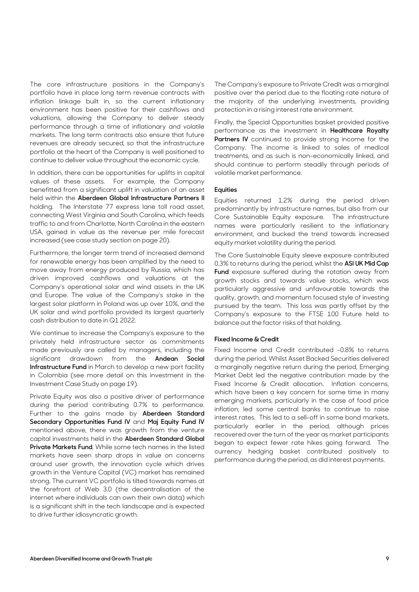The core infrastructure positions in the Company's portfolio have in place long term revenue contracts with inflation linkage built in, so the current inflationary environment has been positive for their cashflows and valuations, allowing the Company to deliver steady performance through a time of inflationary and volatile markets. The long term contracts also ensure that future revenues are already secured, so that the infrastructure portfolio at the heart of the Company is well positioned to continue to deliver value throughout the economic cycle.

In addition, there can be opportunities for uplifts in capital values of these assets. For example, the Company benefitted from a significant uplift in valuation of an asset held within the **Aberdeen Global Infrastructure Partners II** holding. The Interstate 77 express lane toll road asset, connecting West Virginia and South Carolina, which feeds traffic to and from Charlotte, North Carolina in the eastern USA, gained in value as the revenue per mile forecast increased (see case study section on page 20).

Furthermore, the longer term trend of increased demand for renewable energy has been amplified by the need to move away from energy produced by Russia, which has driven improved cashflows and valuations at the Company's operational solar and wind assets in the UK and Europe. The value of the Company's stake in the largest solar platform in Poland was up over 10%, and the UK solar and wind portfolio provided its largest quarterly cash distribution to date in Q1 2022.

We continue to increase the Company's exposure to the privately held infrastructure sector as commitments made previously are called by managers, including the significant drawdown from the **Andean Social Infrastructure Fund** in March to develop a new port facility in Colombia (see more detail on this investment in the Investment Case Study on page 19).

Private Equity was also a positive driver of performance during the period contributing 0.7% to performance. Further to the gains made by **Aberdeen Standard Secondary Opportunities Fund IV** and **Maj Equity Fund IV** mentioned above, there was growth from the venture capital investments held in the **Aberdeen Standard Global Private Markets Fund**. While some tech names in the listed markets have seen sharp drops in value on concerns around user growth, the innovation cycle which drives growth in the Venture Capital (VC) market has remained strong. The current VC portfolio is tilted towards names at the forefront of Web 3.0 (the decentralisation of the internet where individuals can own their own data) which is a significant shift in the tech landscape and is expected to drive further idiosyncratic growth.

The Company's exposure to Private Credit was a marginal positive over the period due to the floating rate nature of the majority of the underlying investments, providing protection in a rising interest rate environment.

Finally, the Special Opportunities basket provided positive performance as the investment in **Healthcare Royalty**  Partners IV continued to provide strong income for the Company. The income is linked to sales of medical treatments, and as such is non-economically linked, and should continue to perform steadily through periods of volatile market performance.

#### **Equities**

Equities returned 1.2% during the period driven predominantly by infrastructure names, but also from our Core Sustainable Equity exposure. The infrastructure names were particularly resilient to the inflationary environment, and bucked the trend towards increased equity market volatility during the period.

The Core Sustainable Equity sleeve exposure contributed 0.3% to returns during the period, whilst the **ASI UK Mid Cap Fund** exposure suffered during the rotation away from growth stocks and towards value stocks, which was particularly aggressive and unfavourable towards the quality, growth, and momentum focused style of investing pursued by the team. This loss was partly offset by the Company's exposure to the FTSE 100 Future held to balance out the factor risks of that holding.

#### **Fixed Income & Credit**

Fixed Income and Credit contributed -0.8% to returns during the period. Whilst Asset Backed Securities delivered a marginally negative return during the period, Emerging Market Debt led the negative contribution made by the Fixed Income & Credit allocation. Inflation concerns, which have been a key concern for some time in many emerging markets, particularly in the case of food price inflation, led some central banks to continue to raise interest rates. This led to a sell-off in some bond markets, particularly earlier in the period, although prices recovered over the turn of the year as market participants began to expect fewer rate hikes going forward. The currency hedging basket contributed positively to performance during the period, as did interest payments.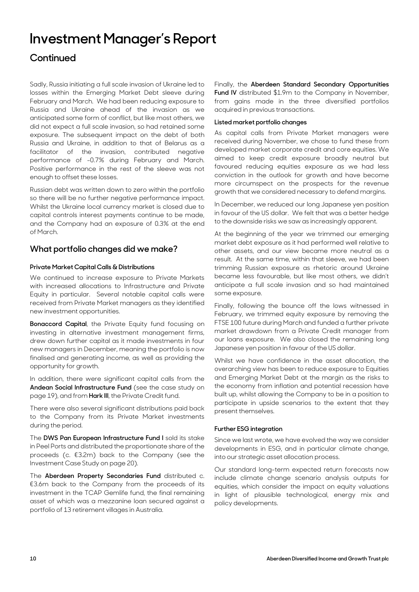## **Investment Manager's Report**

## **Continued**

Sadly, Russia initiating a full scale invasion of Ukraine led to losses within the Emerging Market Debt sleeve during February and March. We had been reducing exposure to Russia and Ukraine ahead of the invasion as we anticipated some form of conflict, but like most others, we did not expect a full scale invasion, so had retained some exposure. The subsequent impact on the debt of both Russia and Ukraine, in addition to that of Belarus as a facilitator of the invasion, contributed negative performance of -0.7% during February and March. Positive performance in the rest of the sleeve was not enough to offset these losses.

Russian debt was written down to zero within the portfolio so there will be no further negative performance impact. Whilst the Ukraine local currency market is closed due to capital controls interest payments continue to be made, and the Company had an exposure of 0.3% at the end of March.

### **What portfolio changes did we make?**

#### **Private Market Capital Calls & Distributions**

We continued to increase exposure to Private Markets with increased allocations to Infrastructure and Private Equity in particular. Several notable capital calls were received from Private Market managers as they identified new investment opportunities.

**Bonaccord Capital**, the Private Equity fund focusing on investing in alternative investment management firms, drew down further capital as it made investments in four new managers in December, meaning the portfolio is now finalised and generating income, as well as providing the opportunity for growth.

In addition, there were significant capital calls from the **Andean Social Infrastructure Fund** (see the case study on page 19), and from **Hark III**, the Private Credit fund.

There were also several significant distributions paid back to the Company from its Private Market investments during the period.

The **DWS Pan European Infrastructure Fund I** sold its stake in Peel Ports and distributed the proportionate share of the proceeds (c. €3.2m) back to the Company (see the Investment Case Study on page 20).

The **Aberdeen Property Secondaries Fund** distributed c. €3.6m back to the Company from the proceeds of its investment in the TCAP Gemlife fund, the final remaining asset of which was a mezzanine loan secured against a portfolio of 13 retirement villages in Australia.

Finally, the **Aberdeen Standard Secondary Opportunities Fund IV** distributed \$1.9m to the Company in November, from gains made in the three diversified portfolios acquired in previous transactions.

#### **Listed market portfolio changes**

As capital calls from Private Market managers were received during November, we chose to fund these from developed market corporate credit and core equities. We aimed to keep credit exposure broadly neutral but favoured reducing equities exposure as we had less conviction in the outlook for growth and have become more circumspect on the prospects for the revenue growth that we considered necessary to defend margins.

In December, we reduced our long Japanese yen position in favour of the US dollar. We felt that was a better hedge to the downside risks we saw as increasingly apparent.

At the beginning of the year we trimmed our emerging market debt exposure as it had performed well relative to other assets, and our view became more neutral as a result. At the same time, within that sleeve, we had been trimming Russian exposure as rhetoric around Ukraine became less favourable, but like most others, we didn't anticipate a full scale invasion and so had maintained some exposure.

Finally, following the bounce off the lows witnessed in February, we trimmed equity exposure by removing the FTSE 100 future during March and funded a further private market drawdown from a Private Credit manager from our loans exposure. We also closed the remaining long Japanese yen position in favour of the US dollar.

Whilst we have confidence in the asset allocation, the overarching view has been to reduce exposure to Equities and Emerging Market Debt at the margin as the risks to the economy from inflation and potential recession have built up, whilst allowing the Company to be in a position to participate in upside scenarios to the extent that they present themselves.

#### **Further ESG integration**

Since we last wrote, we have evolved the way we consider developments in ESG, and in particular climate change, into our strategic asset allocation process.

Our standard long-term expected return forecasts now include climate change scenario analysis outputs for equities, which consider the impact on equity valuations in light of plausible technological, energy mix and policy developments.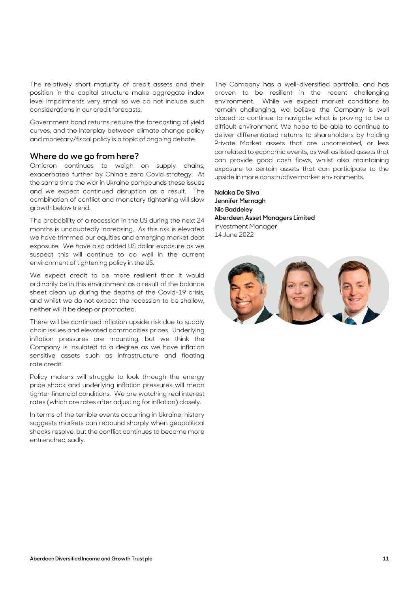The relatively short maturity of credit assets and their position in the capital structure make aggregate index level impairments very small so we do not include such considerations in our credit forecasts.

Government bond returns require the forecasting of yield curves, and the interplay between climate change policy and monetary/fiscal policy is a topic of ongoing debate.

### **Where do we go from here?**

Omicron continues to weigh on supply chains, exacerbated further by China's zero Covid strategy. At the same time the war in Ukraine compounds these issues and we expect continued disruption as a result. The combination of conflict and monetary tightening will slow growth below trend.

The probability of a recession in the US during the next 24 months is undoubtedly increasing. As this risk is elevated we have trimmed our equities and emerging market debt exposure. We have also added US dollar exposure as we suspect this will continue to do well in the current environment of tightening policy in the US.

We expect credit to be more resilient than it would ordinarily be in this environment as a result of the balance sheet clean up during the depths of the Covid-19 crisis, and whilst we do not expect the recession to be shallow, neither will it be deep or protracted.

There will be continued inflation upside risk due to supply chain issues and elevated commodities prices. Underlying inflation pressures are mounting, but we think the Company is insulated to a degree as we have inflation sensitive assets such as infrastructure and floating rate credit.

Policy makers will struggle to look through the energy price shock and underlying inflation pressures will mean tighter financial conditions. We are watching real interest rates (which are rates after adjusting for inflation) closely.

In terms of the terrible events occurring in Ukraine, history suggests markets can rebound sharply when geopolitical shocks resolve, but the conflict continues to become more entrenched, sadly.

The Company has a well-diversified portfolio, and has proven to be resilient in the recent challenging environment. While we expect market conditions to remain challenging, we believe the Company is well placed to continue to navigate what is proving to be a difficult environment. We hope to be able to continue to deliver differentiated returns to shareholders by holding Private Market assets that are uncorrelated, or less correlated to economic events, as well as listed assets that can provide good cash flows, whilst also maintaining exposure to certain assets that can participate to the upside in more constructive market environments.

**Nalaka De Silva Jennifer Mernagh Nic Baddeley Aberdeen Asset Managers Limited**  Investment Manager 14 June 2022

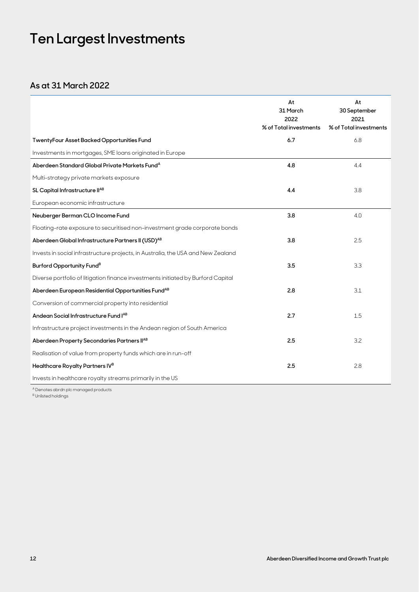# **Ten Largest Investments**

## **As at 31 March 2022**

|                                                                                  | At<br>31 March<br>2022<br>% of Total investments | At<br>30 September<br>2021<br>% of Total investments |
|----------------------------------------------------------------------------------|--------------------------------------------------|------------------------------------------------------|
| TwentyFour Asset Backed Opportunities Fund                                       | 6.7                                              | 6.8                                                  |
| Investments in mortgages, SME loans originated in Europe                         |                                                  |                                                      |
| Aberdeen Standard Global Private Markets Fund <sup>A</sup>                       | 4.8                                              | 4.4                                                  |
| Multi-strategy private markets exposure                                          |                                                  |                                                      |
| SL Capital Infrastructure IIAB                                                   | 4.4                                              | 3.8                                                  |
| European economic infrastructure                                                 |                                                  |                                                      |
| Neuberger Berman CLO Income Fund                                                 | 3.8                                              | 4.0                                                  |
| Floating-rate exposure to securitised non-investment grade corporate bonds       |                                                  |                                                      |
| Aberdeen Global Infrastructure Partners II (USD) <sup>AB</sup>                   | 3.8                                              | 2.5                                                  |
| Invests in social infrastructure projects, in Australia, the USA and New Zealand |                                                  |                                                      |
| Burford Opportunity Fund <sup>B</sup>                                            | 3.5                                              | 3.3                                                  |
| Diverse portfolio of litigation finance investments initiated by Burford Capital |                                                  |                                                      |
| Aberdeen European Residential Opportunities Fund <sup>AB</sup>                   | 2.8                                              | 3.1                                                  |
| Conversion of commercial property into residential                               |                                                  |                                                      |
| Andean Social Infrastructure Fund IAB                                            | 2.7                                              | 1.5                                                  |
| Infrastructure project investments in the Andean region of South America         |                                                  |                                                      |
| Aberdeen Property Secondaries Partners II <sup>AB</sup>                          | 2.5                                              | 3.2                                                  |
| Realisation of value from property funds which are in run-off                    |                                                  |                                                      |
| Healthcare Royalty Partners IV <sup>B</sup>                                      | 2.5                                              | 2.8                                                  |
| Invests in healthcare royalty streams primarily in the US                        |                                                  |                                                      |

<sup>A</sup> Denotes abrdn plc managed products

<sup>B</sup> Unlisted holdings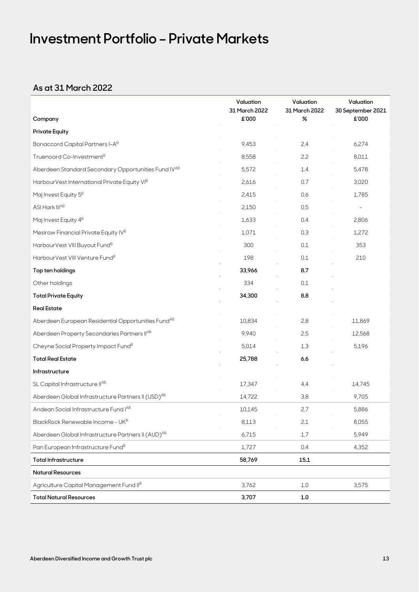## **Investment Portfolio – Private Markets**

## **As at 31 March 2022**

|                                                                | Valuation<br>31 March 2022 | Valuation<br>31 March 2022 | Valuation<br>30 September 2021 |
|----------------------------------------------------------------|----------------------------|----------------------------|--------------------------------|
| Company                                                        | £'000                      | %                          | £'000                          |
| <b>Private Equity</b>                                          |                            |                            |                                |
| Bonaccord Capital Partners I-A <sup>B</sup>                    | 9,453                      | 2.4                        | 6,274                          |
| Truenoord Co-Investment <sup>B</sup>                           | 8,558                      | 2.2                        | 8,011                          |
| Aberdeen Standard Secondary Opportunities Fund IVAB            | 5,572                      | 1.4                        | 5,478                          |
| Harbour Vest International Private Equity VIB                  | 2,616                      | 0.7                        | 3,020                          |
| Maj Invest Equity 5 <sup>B</sup>                               | 2,415                      | 0.6                        | 1,785                          |
| ASI Hark III <sup>AB</sup>                                     | 2,150                      | 0.5                        | $\overline{\phantom{a}}$       |
| Maj Invest Equity 4 <sup>B</sup>                               | 1,633                      | 0.4                        | 2,806                          |
| Mesirow Financial Private Equity IV <sup>B</sup>               | 1,071                      | 0.3                        | 1,272                          |
| HarbourVest VIII Buyout Fund <sup>B</sup>                      | 300                        | 0.1                        | 353                            |
| HarbourVest VIII Venture Fund <sup>B</sup>                     | 198                        | 0.1                        | 210                            |
| Top ten holdings                                               | 33,966                     | 8.7                        |                                |
| Other holdings                                                 | 334                        | 0.1                        |                                |
| <b>Total Private Equity</b>                                    | 34,300                     | 8.8                        |                                |
| <b>Real Estate</b>                                             |                            |                            |                                |
| Aberdeen European Residential Opportunities Fund <sup>AB</sup> | 10,834                     | 2.8                        | 11,869                         |
| Aberdeen Property Secondaries Partners IIAB                    | 9,940                      | 2.5                        | 12,568                         |
| Cheyne Social Property Impact Fund <sup>B</sup>                | 5,014                      | 1.3                        | 5,196                          |
| <b>Total Real Estate</b>                                       | 25,788                     | 6.6                        |                                |
| Infrastructure                                                 |                            |                            |                                |
| SL Capital Infrastructure IIAB                                 | 17,347                     | 4.4                        | 14,745                         |
| Aberdeen Global Infrastructure Partners II (USD) <sup>AB</sup> | 14,722                     | 3.8                        | 9,705                          |
| Andean Social Infrastructure Fund IAB                          | 10,145                     | 2.7                        | 5,886                          |
| BlackRock Renewable Income - UKB                               | 8,113                      | 2.1                        | 8,055                          |
| Aberdeen Global Infrastructure Partners II (AUD) <sup>AB</sup> | 6,715                      | 1.7                        | 5,949                          |
| Pan European Infrastructure Fund <sup>B</sup>                  | 1,727                      | 0.4                        | 4,352                          |
| <b>Total Infrastructure</b>                                    | 58,769                     | 15.1                       |                                |
| <b>Natural Resources</b>                                       |                            |                            |                                |
| Agriculture Capital Management Fund II <sup>B</sup>            | 3,762                      | 1.0                        | 3,575                          |
| <b>Total Natural Resources</b>                                 | 3,707                      | 1.0                        |                                |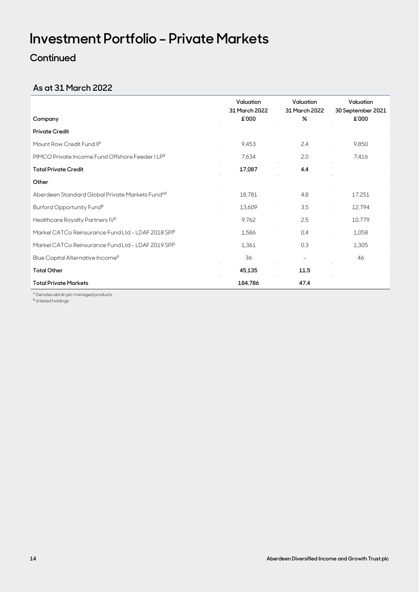## **Investment Portfolio – Private Markets**

## **Continued**

## **As at 31 March 2022**

|                                                             | Valuation<br>31 March 2022 | Valuation<br>31 March 2022 | Valuation<br>30 September 2021 |
|-------------------------------------------------------------|----------------------------|----------------------------|--------------------------------|
| Company                                                     | £'000                      | %                          | £'000                          |
| <b>Private Credit</b>                                       |                            |                            |                                |
| Mount Row Credit Fund II <sup>B</sup>                       | 9,453                      | 2.4                        | 9,850                          |
| PIMCO Private Income Fund Offshore Feeder I LPB             | 7,634                      | 2.0                        | 7,416                          |
| <b>Total Private Credit</b>                                 | 17,087                     | 4.4                        |                                |
| Other                                                       |                            |                            |                                |
| Aberdeen Standard Global Private Markets Fund <sup>AB</sup> | 18,781                     | 4.8                        | 17,251                         |
| Burford Opportunity Fund <sup>B</sup>                       | 13,609                     | 3.5                        | 12,794                         |
| Healthcare Royalty Partners IV <sup>B</sup>                 | 9,762                      | 2.5                        | 10,779                         |
| Markel CATCo Reinsurance Fund Ltd - LDAF 2018 SPIB          | 1,586                      | 0.4                        | 1,058                          |
| Markel CATCo Reinsurance Fund Ltd - LDAF 2019 SPIB          | 1,361                      | 0.3                        | 1,305                          |
| Blue Capital Alternative Income <sup>B</sup>                | 36                         |                            | 46                             |
| <b>Total Other</b>                                          | 45,135                     | 11.5                       |                                |
| <b>Total Private Markets</b>                                | 184,786                    | 47.4                       |                                |

A Denotes abrdn plc managed products

**B** Unlisted holdings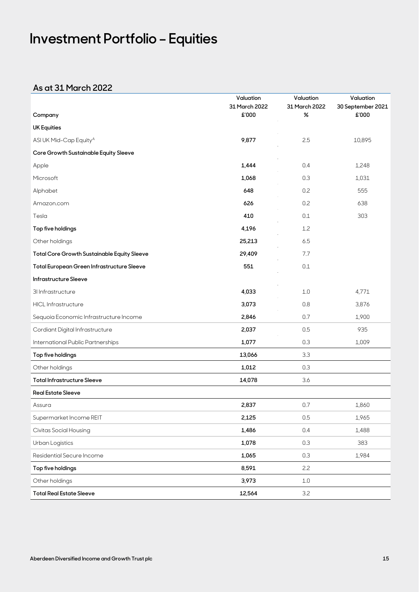## **Investment Portfolio – Equities**

## **As at 31 March 2022**

|                                                    | Valuation              | Valuation          | Valuation                  |
|----------------------------------------------------|------------------------|--------------------|----------------------------|
| Company                                            | 31 March 2022<br>£'000 | 31 March 2022<br>% | 30 September 2021<br>£'000 |
| <b>UK Equities</b>                                 |                        |                    |                            |
| ASI UK Mid-Cap Equity <sup>A</sup>                 | 9,877                  | 2.5                | 10,895                     |
|                                                    |                        |                    |                            |
| Core Growth Sustainable Equity Sleeve              |                        |                    |                            |
| Apple                                              | 1,444                  | 0.4                | 1,248                      |
| Microsoft                                          | 1,068                  | 0.3                | 1,031                      |
| Alphabet                                           | 648                    | 0.2                | 555                        |
| Amazon.com                                         | 626                    | 0.2                | 638                        |
| Tesla                                              | 410                    | 0.1                | 303                        |
| Top five holdings                                  | 4,196                  | 1.2                |                            |
| Other holdings                                     | 25,213                 | 6.5                |                            |
| <b>Total Core Growth Sustainable Equity Sleeve</b> | 29,409                 | 7.7                |                            |
| Total European Green Infrastructure Sleeve         | 551                    | 0.1                |                            |
| <b>Infrastructure Sleeve</b>                       |                        |                    |                            |
| 31 Infrastructure                                  | 4,033                  | 1.0                | 4,771                      |
| <b>HICL</b> Infrastructure                         | 3,073                  | 0.8                | 3,876                      |
| Sequoia Economic Infrastructure Income             | 2,846                  | 0.7                | 1,900                      |
| Cordiant Digital Infrastructure                    | 2,037                  | 0.5                | 935                        |
| International Public Partnerships                  | 1,077                  | 0.3                | 1,009                      |
| Top five holdings                                  | 13,066                 | 3.3                |                            |
| Other holdings                                     | 1,012                  | 0.3                |                            |
| <b>Total Infrastructure Sleeve</b>                 | 14,078                 | 3.6                |                            |
| <b>Real Estate Sleeve</b>                          |                        |                    |                            |
| Assura                                             | 2,837                  | 0.7                | 1,860                      |
| Supermarket Income REIT                            | 2,125                  | 0.5                | 1,965                      |
| Civitas Social Housing                             | 1,486                  | 0.4                | 1,488                      |
| Urban Logistics                                    | 1,078                  | 0.3                | 383                        |
| Residential Secure Income                          | 1,065                  | 0.3                | 1,984                      |
| Top five holdings                                  | 8,591                  | 2.2                |                            |
| Other holdings                                     | 3,973                  | $1.0\,$            |                            |
| <b>Total Real Estate Sleeve</b>                    | 12,564                 | 3.2                |                            |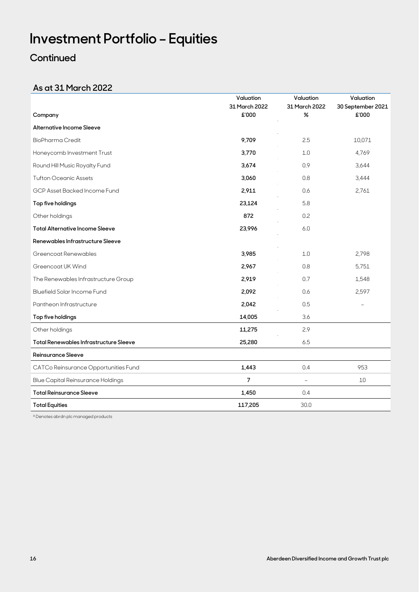## **Investment Portfolio – Equities**

## **Continued**

## **As at 31 March 2022**

|                                               | Valuation<br>31 March 2022 | Valuation<br>31 March 2022 | Valuation<br>30 September 2021 |
|-----------------------------------------------|----------------------------|----------------------------|--------------------------------|
| Company                                       | £'000                      | $\%$                       | £'000                          |
| Alternative Income Sleeve                     |                            |                            |                                |
| BioPharma Credit                              | 9,709                      | 2.5                        | 10,071                         |
| Honeycomb Investment Trust                    | 3,770                      | 1.0                        | 4,769                          |
| Round Hill Music Royalty Fund                 | 3,674                      | 0.9                        | 3,644                          |
| <b>Tufton Oceanic Assets</b>                  | 3,060                      | 0.8                        | 3,444                          |
| GCP Asset Backed Income Fund                  | 2,911                      | 0.6                        | 2,761                          |
| Top five holdings                             | 23,124                     | 5.8                        |                                |
| Other holdings                                | 872                        | 0.2                        |                                |
| <b>Total Alternative Income Sleeve</b>        | 23,996                     | 6.0                        |                                |
| Renewables Infrastructure Sleeve              |                            |                            |                                |
| Greencoat Renewables                          | 3,985                      | 1.0                        | 2,798                          |
| Greencoat UK Wind                             | 2,967                      | 0.8                        | 5,751                          |
| The Renewables Infrastructure Group           | 2,919                      | 0.7                        | 1,548                          |
| <b>Bluefield Solar Income Fund</b>            | 2,092                      | 0.6                        | 2,597                          |
| Pantheon Infrastructure                       | 2,042                      | 0.5                        |                                |
| Top five holdings                             | 14,005                     | 3.6                        |                                |
| Other holdings                                | 11,275                     | 2.9                        |                                |
| <b>Total Renewables Infrastructure Sleeve</b> | 25,280                     | 6.5                        |                                |
| <b>Reinsurance Sleeve</b>                     |                            |                            |                                |
| CATCo Reinsurance Opportunities Fund          | 1,443                      | 0.4                        | 953                            |
| <b>Blue Capital Reinsurance Holdings</b>      | $\overline{7}$             | $\overline{\phantom{a}}$   | 10                             |
| <b>Total Reinsurance Sleeve</b>               | 1,450                      | 0.4                        |                                |
| <b>Total Equities</b>                         | 117,205                    | 30.0                       |                                |

A Denotes abrdn plc managed products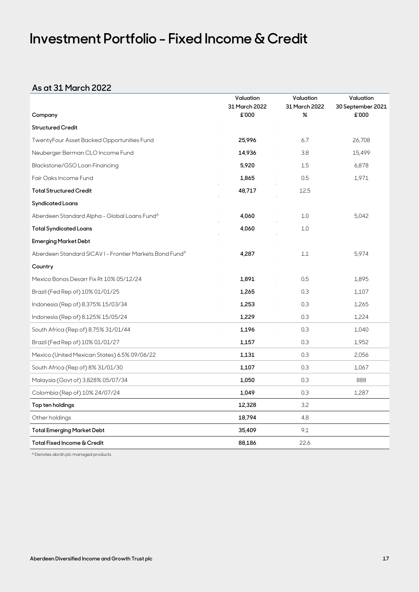## **Investment Portfolio - Fixed Income & Credit**

## **As at 31 March 2022**

|                                                                     | Valuation<br>31 March 2022 | Valuation<br>31 March 2022 | Valuation<br>30 September 2021 |
|---------------------------------------------------------------------|----------------------------|----------------------------|--------------------------------|
| Company                                                             | £'000                      | %                          | £'000                          |
| <b>Structured Credit</b>                                            |                            |                            |                                |
| TwentyFour Asset Backed Opportunities Fund                          | 25,996                     | 6.7                        | 26,708                         |
| Neuberger Berman CLO Income Fund                                    | 14,936                     | 3.8                        | 15,499                         |
| Blackstone/GSO Loan Financing                                       | 5,920                      | 1.5                        | 6,878                          |
| Fair Oaks Income Fund                                               | 1,865                      | 0.5                        | 1,971                          |
| <b>Total Structured Credit</b>                                      | 48,717                     | 12.5                       |                                |
| <b>Syndicated Loans</b>                                             |                            |                            |                                |
| Aberdeen Standard Alpha - Global Loans Fund <sup>A</sup>            | 4,060                      | 1.0                        | 5,042                          |
| <b>Total Syndicated Loans</b>                                       | 4,060                      | 1.0                        |                                |
| <b>Emerging Market Debt</b>                                         |                            |                            |                                |
| Aberdeen Standard SICAV I - Frontier Markets Bond Fund <sup>A</sup> | 4,287                      | 1.1                        | 5,974                          |
| Country                                                             |                            |                            |                                |
| Mexico Bonos Desarr Fix Rt 10% 05/12/24                             | 1,891                      | 0.5                        | 1,895                          |
| Brazil (Fed Rep of) 10% 01/01/25                                    | 1,265                      | 0.3                        | 1,107                          |
| Indonesia (Rep of) 8.375% 15/03/34                                  | 1,253                      | 0.3                        | 1,265                          |
| Indonesia (Rep of) 8.125% 15/05/24                                  | 1,229                      | 0.3                        | 1,224                          |
| South Africa (Rep of) 8.75% 31/01/44                                | 1,196                      | 0.3                        | 1,040                          |
| Brazil (Fed Rep of) 10% 01/01/27                                    | 1,157                      | 0.3                        | 1,952                          |
| Mexico (United Mexican States) 6.5% 09/06/22                        | 1,131                      | 0.3                        | 2,056                          |
| South Africa (Rep of) 8% 31/01/30                                   | 1,107                      | 0.3                        | 1,067                          |
| Malaysia (Govt of) 3.828% 05/07/34                                  | 1,050                      | 0.3                        | 888                            |
| Colombia (Rep of) 10% 24/07/24                                      | 1,049                      | 0.3                        | 1,287                          |
| Top ten holdings                                                    | 12,328                     | 3.2                        |                                |
| Other holdings                                                      | 18,794                     | 4.8                        |                                |
| <b>Total Emerging Market Debt</b>                                   | 35,409                     | 9.1                        |                                |
| Total Fixed Income & Credit                                         | 88,186                     | 22.6                       |                                |

A Denotes abrdn plc managed products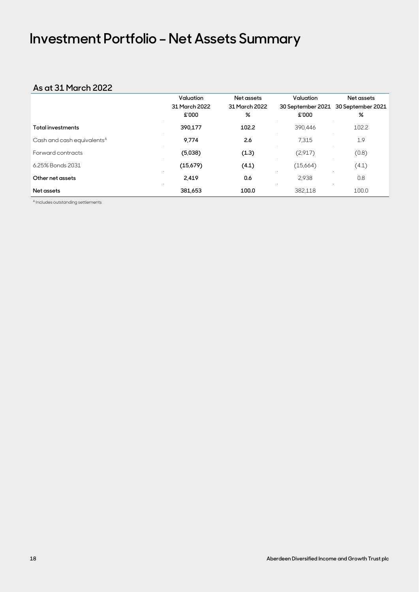## **Investment Portfolio – Net Assets Summary**

## **As at 31 March 2022**

|                                        | Valuation<br>31 March 2022<br>£'000 | Net assets<br>31 March 2022<br>% | Valuation<br>30 September 2021<br>£'000 | Net assets<br>30 September 2021<br>% |
|----------------------------------------|-------------------------------------|----------------------------------|-----------------------------------------|--------------------------------------|
| <b>Total investments</b>               | 390.177                             | 102.2                            | 390.446                                 | 102.2                                |
| Cash and cash equivalents <sup>A</sup> | 9.774                               | 2.6                              | 7,315                                   | 1.9                                  |
| Forward contracts                      | (5,038)                             | (1.3)                            | (2,917)                                 | (0.8)                                |
| 6.25% Bonds 2031                       | (15,679)                            | (4.1)                            | (15,664)                                | (4.1)                                |
| Other net assets                       | 2,419                               | 0.6                              | 2.938                                   | 0.8                                  |
| Net assets                             | 381.653                             | 100.0                            | 382.118                                 | 100.0                                |

A Includes outstanding settlements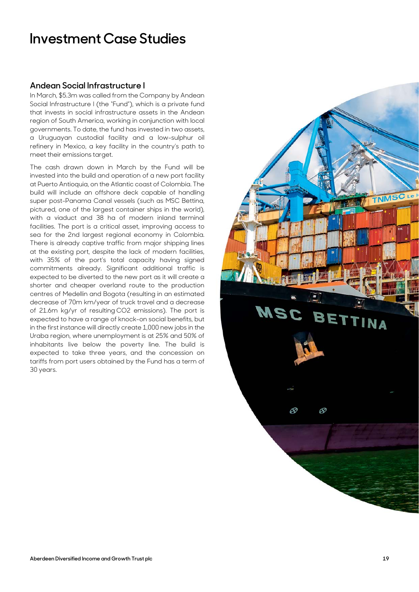## **Investment Case Studies**

### **Andean Social Infrastructure I**

In March, \$5.3m was called from the Company by Andean Social Infrastructure I (the "Fund"), which is a private fund that invests in social infrastructure assets in the Andean region of South America, working in conjunction with local governments. To date, the fund has invested in two assets, a Uruguayan custodial facility and a low-sulphur oil refinery in Mexico, a key facility in the country's path to meet their emissions target.

The cash drawn down in March by the Fund will be invested into the build and operation of a new port facility at Puerto Antioquia, on the Atlantic coast of Colombia. The build will include an offshore deck capable of handling super post-Panama Canal vessels (such as MSC Bettina, pictured, one of the largest container ships in the world), with a viaduct and 38 ha of modern inland terminal facilities. The port is a critical asset, improving access to sea for the 2nd largest regional economy in Colombia. There is already captive traffic from major shipping lines at the existing port, despite the lack of modern facilities, with 35% of the port's total capacity having signed commitments already. Significant additional traffic is expected to be diverted to the new port as it will create a shorter and cheaper overland route to the production centres of Medellin and Bogota (resulting in an estimated decrease of 70m km/year of truck travel and a decrease of 21.6m kg/yr of resulting CO2 emissions). The port is expected to have a range of knock-on social benefits, but in the first instance will directly create 1,000 new jobs in the Uraba region, where unemployment is at 25% and 50% of inhabitants live below the poverty line. The build is expected to take three years, and the concession on tariffs from port users obtained by the Fund has a term of 30 years.

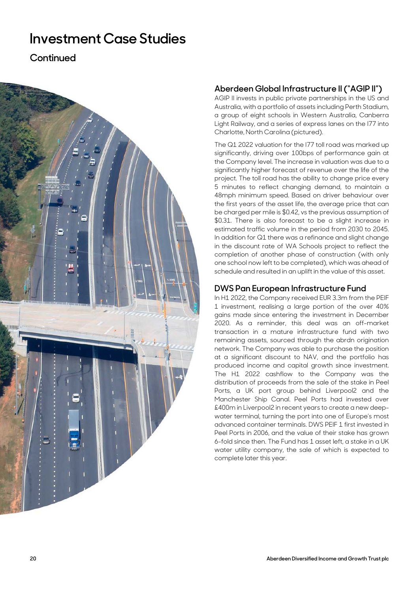## **Investment Case Studies**

## **Continued**



### **Aberdeen Global Infrastructure II ("AGIP II")**

AGIP II invests in public private partnerships in the US and Australia, with a portfolio of assets including Perth Stadium, a group of eight schools in Western Australia, Canberra Light Railway, and a series of express lanes on the I77 into Charlotte, North Carolina (pictured).

The Q1 2022 valuation for the I77 toll road was marked up significantly, driving over 100bps of performance gain at the Company level. The increase in valuation was due to a significantly higher forecast of revenue over the life of the project. The toll road has the ability to change price every 5 minutes to reflect changing demand, to maintain a 48mph minimum speed. Based on driver behaviour over the first years of the asset life, the average price that can be charged per mile is \$0.42, vs the previous assumption of \$0.31. There is also forecast to be a slight increase in estimated traffic volume in the period from 2030 to 2045. In addition for Q1 there was a refinance and slight change in the discount rate of WA Schools project to reflect the completion of another phase of construction (with only one school now left to be completed), which was ahead of schedule and resulted in an uplift in the value of this asset.

## **DWS Pan European Infrastructure Fund**

In H1 2022, the Company received EUR 3.3m from the PEIF 1 investment, realising a large portion of the over 40% gains made since entering the investment in December 2020. As a reminder, this deal was an off-market transaction in a mature infrastructure fund with two remaining assets, sourced through the abrdn origination network. The Company was able to purchase the position at a significant discount to NAV, and the portfolio has produced income and capital growth since investment. The H1 2022 cashflow to the Company was the distribution of proceeds from the sale of the stake in Peel Ports, a UK port group behind Liverpool2 and the Manchester Ship Canal. Peel Ports had invested over £400m in Liverpool2 in recent years to create a new deepwater terminal, turning the port into one of Europe's most advanced container terminals. DWS PEIF 1 first invested in Peel Ports in 2006, and the value of their stake has grown 6-fold since then. The Fund has 1 asset left, a stake in a UK water utility company, the sale of which is expected to complete later this year.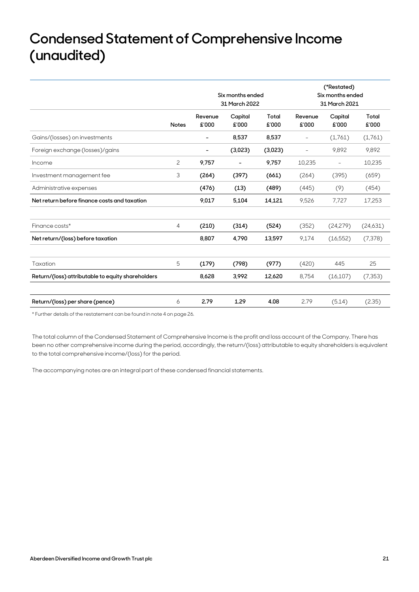## **Condensed Statement of Comprehensive Income (unaudited)**

|                                                   |              | Six months ended<br>31 March 2022 |                  | (*Restated)<br>Six months ended<br>31 March 2021 |                   |                          |                |
|---------------------------------------------------|--------------|-----------------------------------|------------------|--------------------------------------------------|-------------------|--------------------------|----------------|
|                                                   | <b>Notes</b> | Revenue<br>£'000                  | Capital<br>£'000 | Total<br>£'000                                   | Revenue<br>£'000  | Capital<br>£'000         | Total<br>£'000 |
| Gains/(losses) on investments                     |              | $\overline{\phantom{a}}$          | 8,537            | 8,537                                            | $\qquad \qquad -$ | (1,761)                  | (1,761)        |
| Foreign exchange (losses)/gains                   |              | $\overline{\phantom{a}}$          | (3,023)          | (3,023)                                          | $\qquad \qquad -$ | 9,892                    | 9,892          |
| Income                                            | 2            | 9,757                             | -                | 9,757                                            | 10,235            | $\overline{\phantom{a}}$ | 10,235         |
| Investment management fee                         | 3            | (264)                             | (397)            | (661)                                            | (264)             | (395)                    | (659)          |
| Administrative expenses                           |              | (476)                             | (13)             | (489)                                            | (445)             | (9)                      | (454)          |
| Net return before finance costs and taxation      |              | 9,017                             | 5,104            | 14,121                                           | 9,526             | 7,727                    | 17,253         |
| Finance costs*                                    | 4            | (210)                             | (314)            | (524)                                            | (352)             | (24,279)                 | (24,631)       |
| Net return/(loss) before taxation                 |              | 8,807                             | 4,790            | 13,597                                           | 9,174             | (16, 552)                | (7,378)        |
| Taxation                                          | 5            | (179)                             | (798)            | (977)                                            | (420)             | 445                      | 25             |
| Return/(loss) attributable to equity shareholders |              | 8,628                             | 3,992            | 12,620                                           | 8,754             | (16, 107)                | (7, 353)       |
| Return/(loss) per share (pence)                   | 6            | 2.79                              | 1.29             | 4.08                                             | 2.79              | (5.14)                   | (2.35)         |

\* Further details of the restatement can be found in note 4 on page 26.

The total column of the Condensed Statement of Comprehensive Income is the profit and loss account of the Company. There has been no other comprehensive income during the period, accordingly, the return/(loss) attributable to equity shareholders is equivalent to the total comprehensive income/(loss) for the period.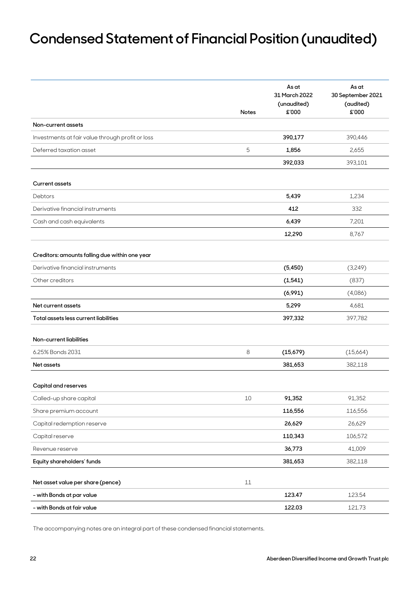## **Condensed Statement of Financial Position (unaudited)**

|                                                  | <b>Notes</b> | As at<br>31 March 2022<br>(unaudited)<br>£'000 | As at<br>30 September 2021<br>(audited)<br>£'000 |
|--------------------------------------------------|--------------|------------------------------------------------|--------------------------------------------------|
| Non-current assets                               |              |                                                |                                                  |
| Investments at fair value through profit or loss |              | 390,177                                        | 390,446                                          |
| Deferred taxation asset                          | 5            | 1,856                                          | 2,655                                            |
|                                                  |              | 392,033                                        | 393,101                                          |
| <b>Current assets</b>                            |              |                                                |                                                  |
| Debtors                                          |              | 5,439                                          | 1,234                                            |
| Derivative financial instruments                 |              | 412                                            | 332                                              |
| Cash and cash equivalents                        |              | 6,439                                          | 7,201                                            |
|                                                  |              | 12,290                                         | 8,767                                            |
| Creditors: amounts falling due within one year   |              |                                                |                                                  |
| Derivative financial instruments                 |              | (5,450)                                        | (3,249)                                          |
| Other creditors                                  |              | (1,541)                                        | (837)                                            |
|                                                  |              | (6,991)                                        | (4,086)                                          |
| Net current assets                               |              | 5,299                                          | 4,681                                            |
| Total assets less current liabilities            |              | 397,332                                        | 397,782                                          |
| Non-current liabilities                          |              |                                                |                                                  |
| 6.25% Bonds 2031                                 | 8            | (15,679)                                       | (15,664)                                         |
| Net assets                                       |              | 381,653                                        | 382,118                                          |
| <b>Capital and reserves</b>                      |              |                                                |                                                  |
| Called-up share capital                          | $10\,$       | 91,352                                         | 91,352                                           |
| Share premium account                            |              | 116,556                                        | 116,556                                          |
| Capital redemption reserve                       |              | 26,629                                         | 26,629                                           |
| Capital reserve                                  |              | 110,343                                        | 106,572                                          |
| Revenue reserve                                  |              | 36,773                                         | 41,009                                           |
| Equity shareholders' funds                       |              | 381,653                                        | 382,118                                          |
| Net asset value per share (pence)                | 11           |                                                |                                                  |
| - with Bonds at par value                        |              | 123.47                                         | 123.54                                           |
| - with Bonds at fair value                       |              | 122.03                                         | 121.73                                           |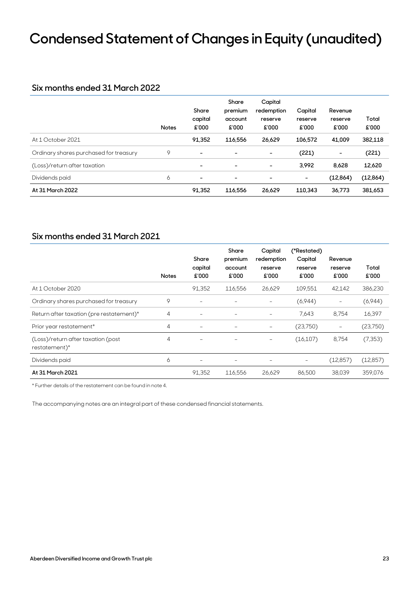## **Condensed Statement of Changes in Equity (unaudited)**

### **Six months ended 31 March 2022**

| At 1 October 2021                      | <b>Notes</b> | Share<br>capital<br>£'000<br>91.352 | Share<br>premium<br>account<br>£'000<br>116,556 | Capital<br>redemption<br>reserve<br>£'000<br>26.629 | Capital<br>reserve<br>£'000<br>106,572 | Revenue<br>reserve<br>£'000<br>41.009 | Total<br>£'000<br>382,118 |
|----------------------------------------|--------------|-------------------------------------|-------------------------------------------------|-----------------------------------------------------|----------------------------------------|---------------------------------------|---------------------------|
| Ordinary shares purchased for treasury | 9            | $\overline{\phantom{a}}$            | $\overline{\phantom{a}}$                        | -                                                   | (221)                                  | ٠                                     | (221)                     |
| (Loss)/return after taxation           |              | $\overline{\phantom{0}}$            | $\overline{\phantom{a}}$                        |                                                     | 3,992                                  | 8.628                                 | 12,620                    |
| Dividends paid                         | 6            | $\overline{\phantom{a}}$            | $\overline{\phantom{a}}$                        | -                                                   | -                                      | (12, 864)                             | (12, 864)                 |
| At 31 March 2022                       |              | 91,352                              | 116,556                                         | 26,629                                              | 110.343                                | 36,773                                | 381,653                   |

## **Six months ended 31 March 2021**

|                                                     | <b>Notes</b>   | Share<br>capital<br>£'000 | Share<br>premium<br>account<br>£'000 | Capital<br>redemption<br>reserve<br>£'000 | (*Restated)<br>Capital<br>reserve<br>£'000 | Revenue<br>reserve<br>£'000 | Total<br>£'000 |
|-----------------------------------------------------|----------------|---------------------------|--------------------------------------|-------------------------------------------|--------------------------------------------|-----------------------------|----------------|
| At 1 October 2020                                   |                | 91,352                    | 116,556                              | 26,629                                    | 109,551                                    | 42,142                      | 386,230        |
| Ordinary shares purchased for treasury              | 9              | $\overline{\phantom{a}}$  |                                      | $\overline{\phantom{0}}$                  | (6,944)                                    | $\overline{\phantom{a}}$    | (6,944)        |
| Return after taxation (pre restatement)*            | 4              | $\overline{\phantom{a}}$  |                                      | -                                         | 7,643                                      | 8.754                       | 16,397         |
| Prior year restatement*                             | $\overline{4}$ | $\overline{\phantom{m}}$  |                                      |                                           | (23,750)                                   | $\qquad \qquad -$           | (23,750)       |
| (Loss)/return after taxation (post<br>restatement)* | 4              | -                         |                                      | -                                         | (16, 107)                                  | 8,754                       | (7, 353)       |
| Dividends paid                                      | 6              | $\overline{\phantom{0}}$  |                                      |                                           | -                                          | (12, 857)                   | (12, 857)      |
| At 31 March 2021                                    |                | 91,352                    | 116,556                              | 26,629                                    | 86,500                                     | 38,039                      | 359,076        |

\* Further details of the restatement can be found in note 4.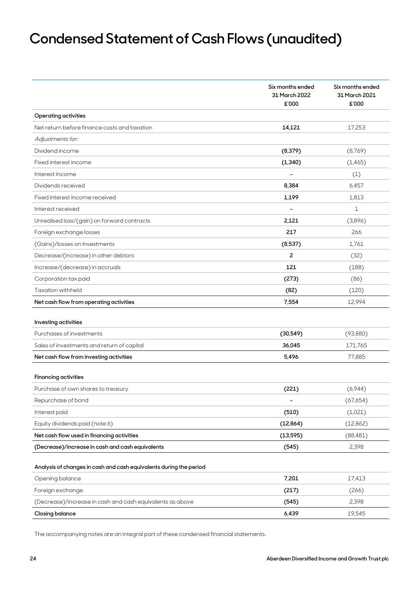## **Condensed Statement of Cash Flows (unaudited)**

|                                                                    | Six months ended<br>31 March 2022<br>£'000 | Six months ended<br>31 March 2021<br>£'000 |
|--------------------------------------------------------------------|--------------------------------------------|--------------------------------------------|
| <b>Operating activities</b>                                        |                                            |                                            |
| Net return before finance costs and taxation                       | 14,121                                     | 17,253                                     |
| Adjustments for:                                                   |                                            |                                            |
| Dividend income                                                    | (8, 379)                                   | (8,769)                                    |
| Fixed interest income                                              | (1, 340)                                   | (1, 465)                                   |
| Interest income                                                    | $\overline{\phantom{a}}$                   | (1)                                        |
| Dividends received                                                 | 8,384                                      | 6,457                                      |
| Fixed interest income received                                     | 1,199                                      | 1,813                                      |
| Interest received                                                  |                                            | 1                                          |
| Unrealised loss/(gain) on forward contracts                        | 2,121                                      | (3,896)                                    |
| Foreign exchange losses                                            | 217                                        | 266                                        |
| (Gains)/losses on investments                                      | (8,537)                                    | 1.761                                      |
| Decrease/(increase) in other debtors                               | 2                                          | (32)                                       |
| Increase/(decrease) in accruals                                    | 121                                        | (188)                                      |
| Corporation tax paid                                               | (273)                                      | (86)                                       |
| <b>Taxation withheld</b>                                           | (82)                                       | (120)                                      |
| Net cash flow from operating activities                            | 7,554                                      | 12,994                                     |
| Investing activities                                               |                                            |                                            |
| Purchases of investments                                           | (30, 549)                                  | (93,880)                                   |
| Sales of investments and return of capital                         | 36,045                                     | 171,765                                    |
| Net cash flow from investing activities                            | 5,496                                      | 77,885                                     |
|                                                                    |                                            |                                            |
| <b>Financing activities</b>                                        |                                            |                                            |
| Purchase of own shares to treasury                                 | (221)                                      | (6,944)                                    |
| Repurchase of bond                                                 |                                            | (67,654)                                   |
| Interest paid                                                      | (510)                                      | (1,021)                                    |
| Equity dividends paid (note 6)                                     | (12, 864)                                  | (12,862)                                   |
| Net cash flow used in financing activities                         | (13, 595)                                  | (88, 481)                                  |
| (Decrease)/increase in cash and cash equivalents                   | (545)                                      | 2,398                                      |
| Analysis of changes in cash and cash equivalents during the period |                                            |                                            |
| Opening balance                                                    | 7,201                                      | 17,413                                     |
| Foreign exchange                                                   | (217)                                      | (266)                                      |
| (Decrease)/increase in cash and cash equivalents as above          | (545)                                      | 2,398                                      |
| <b>Closing balance</b>                                             | 6,439                                      | 19,545                                     |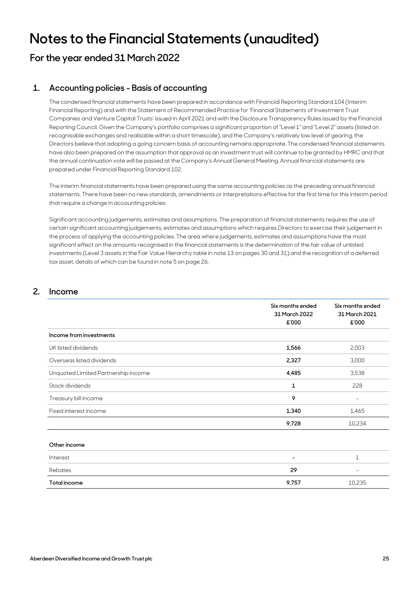## **Notes to the Financial Statements (unaudited)**

**For the year ended 31 March 2022** 

## **1. Accounting policies - Basis of accounting**

 The condensed financial statements have been prepared in accordance with Financial Reporting Standard 104 (Interim Financial Reporting) and with the Statement of Recommended Practice for 'Financial Statements of Investment Trust Companies and Venture Capital Trusts' issued in April 2021 and with the Disclosure Transparency Rules issued by the Financial Reporting Council. Given the Company's portfolio comprises a significant proportion of "Level 1" and "Level 2" assets (listed on recognisable exchanges and realisable within a short timescale), and the Company's relatively low level of gearing, the Directors believe that adopting a going concern basis of accounting remains appropriate. The condensed financial statements have also been prepared on the assumption that approval as an investment trust will continue to be granted by HMRC and that the annual continuation vote will be passed at the Company's Annual General Meeting. Annual financial statements are prepared under Financial Reporting Standard 102.

 The interim financial statements have been prepared using the same accounting policies as the preceding annual financial statements. There have been no new standards, amendments or interpretations effective for the first time for this interim period that require a change in accounting policies.

 Significant accounting judgements, estimates and assumptions. The preparation of financial statements requires the use of certain significant accounting judgements, estimates and assumptions which requires Directors to exercise their judgement in the process of applying the accounting policies. The area where judgements, estimates and assumptions have the most significant effect on the amounts recognised in the financial statements is the determination of the fair value of unlisted investments (Level 3 assets in the Fair Value Hierarchy table in note 13 on pages 30 and 31) and the recognition of a deferred tax asset, details of which can be found in note 5 on page 26.

### **2. Income**

|                                     | Six months ended<br>31 March 2022<br>£'000 | Six months ended<br>31 March 2021<br>£'000 |
|-------------------------------------|--------------------------------------------|--------------------------------------------|
| Income from investments             |                                            |                                            |
| UK listed dividends                 | 1,566                                      | 2,003                                      |
| Overseas listed dividends           | 2,327                                      | 3,000                                      |
| Unquoted Limited Partnership income | 4,485                                      | 3,538                                      |
| Stock dividends                     | 1                                          | 228                                        |
| Treasury bill income                | 9                                          |                                            |
| Fixed interest income               | 1,340                                      | 1,465                                      |
|                                     | 9,728                                      | 10,234                                     |
| Other income                        |                                            |                                            |
| Interest                            | -                                          | 1                                          |
| Rebates                             | 29                                         |                                            |
| <b>Total income</b>                 | 9,757                                      | 10,235                                     |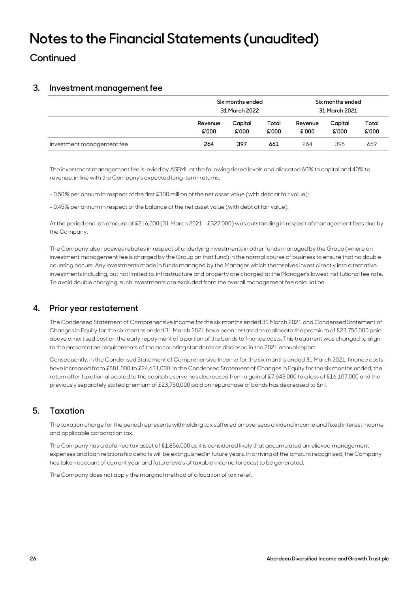## **Notes to the Financial Statements (unaudited)**

## **Continued**

### **3. Investment management fee**

|                           |                  | Six months ended<br>31 March 2022 |                | Six months ended<br>31 March 2021 |                  |                |
|---------------------------|------------------|-----------------------------------|----------------|-----------------------------------|------------------|----------------|
|                           | Revenue<br>£'000 | Capital<br>£'000                  | Total<br>£'000 | Revenue<br>£'000                  | Capital<br>£'000 | Total<br>£'000 |
| Investment management fee | 264              | 397                               | 661            | 264                               | 395              | 659            |

 The investment management fee is levied by ASFML at the following tiered levels and allocated 60% to capital and 40% to revenue, in line with the Company's expected long-term returns:

- 0.50% per annum in respect of the first £300 million of the net asset value (with debt at fair value);

- 0.45% per annum in respect of the balance of the net asset value (with debt at fair value).

 At the period end, an amount of £216,000 (31 March 2021 - £327,000) was outstanding in respect of management fees due by the Company.

 The Company also receives rebates in respect of underlying investments in other funds managed by the Group (where an investment management fee is charged by the Group on that fund) in the normal course of business to ensure that no double counting occurs. Any investments made in funds managed by the Manager which themselves invest directly into alternative investments including, but not limited to, infrastructure and property are charged at the Manager's lowest institutional fee rate. To avoid double charging, such investments are excluded from the overall management fee calculation.

### **4. Prior year restatement**

 The Condensed Statement of Comprehensive Income for the six months ended 31 March 2021 and Condensed Statement of Changes in Equity for the six months ended 31 March 2021 have been restated to reallocate the premium of £23,750,000 paid above amortised cost on the early repayment of a portion of the bonds to finance costs. This treatment was changed to align to the presentation requirements of the accounting standards as disclosed in the 2021 annual report.

 Consequently, in the Condensed Statement of Comprehensive Income for the six months ended 31 March 2021, finance costs have increased from £881,000 to £24,631,000. In the Condensed Statement of Changes in Equity for the six months ended, the return after taxation allocated to the capital reserve has decreased from a gain of £7,643,000 to a loss of £16,107,000 and the previously separately stated premium of £23,750,000 paid on repurchase of bonds has decreased to £nil.

### **5. Taxation**

 The taxation charge for the period represents withholding tax suffered on overseas dividend income and fixed interest income and applicable corporation tax.

 The Company has a deferred tax asset of £1,856,000 as it is considered likely that accumulated unrelieved management expenses and loan relationship deficits will be extinguished in future years. In arriving at the amount recognised, the Company has taken account of current year and future levels of taxable income forecast to be generated.

The Company does not apply the marginal method of allocation of tax relief.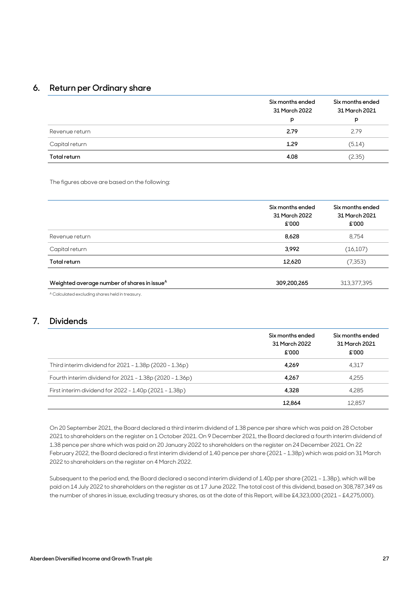### **6. Return per Ordinary share**

|                     | Six months ended<br>31 March 2022 | Six months ended<br>31 March 2021 |
|---------------------|-----------------------------------|-----------------------------------|
|                     | p                                 | р                                 |
| Revenue return      | 2.79                              | 2.79                              |
| Capital return      | 1.29                              | (5.14)                            |
| <b>Total return</b> | 4.08                              | (2.35)                            |

The figures above are based on the following:

|                                                         | Six months ended<br>31 March 2022<br>£'000 | Six months ended<br>31 March 2021<br>£'000 |
|---------------------------------------------------------|--------------------------------------------|--------------------------------------------|
| Revenue return                                          | 8,628                                      | 8,754                                      |
| Capital return                                          | 3,992                                      | (16, 107)                                  |
| <b>Total return</b>                                     | 12,620                                     | (7, 353)                                   |
| Weighted average number of shares in issue <sup>A</sup> | 309,200,265                                | 313,377,395                                |

A Calculated excluding shares held in treasury.

## **7. Dividends**

|                                                         | Six months ended<br>31 March 2022<br>£'000 | Six months ended<br>31 March 2021<br>£'000 |
|---------------------------------------------------------|--------------------------------------------|--------------------------------------------|
| Third interim dividend for 2021 - 1.38p (2020 - 1.36p)  | 4.269                                      | 4.317                                      |
| Fourth interim dividend for 2021 - 1.38p (2020 - 1.36p) | 4.267                                      | 4,255                                      |
| First interim dividend for 2022 - 1.40p (2021 - 1.38p)  | 4.328                                      | 4.285                                      |
|                                                         | 12.864                                     | 12.857                                     |

 On 20 September 2021, the Board declared a third interim dividend of 1.38 pence per share which was paid on 28 October 2021 to shareholders on the register on 1 October 2021. On 9 December 2021, the Board declared a fourth interim dividend of 1.38 pence per share which was paid on 20 January 2022 to shareholders on the register on 24 December 2021. On 22 February 2022, the Board declared a first interim dividend of 1.40 pence per share (2021 - 1.38p) which was paid on 31 March 2022 to shareholders on the register on 4 March 2022.

 Subsequent to the period end, the Board declared a second interim dividend of 1.40p per share (2021 – 1.38p), which will be paid on 14 July 2022 to shareholders on the register as at 17 June 2022. The total cost of this dividend, based on 308,787,349 as the number of shares in issue, excluding treasury shares, as at the date of this Report, will be £4,323,000 (2021 - £4,275,000).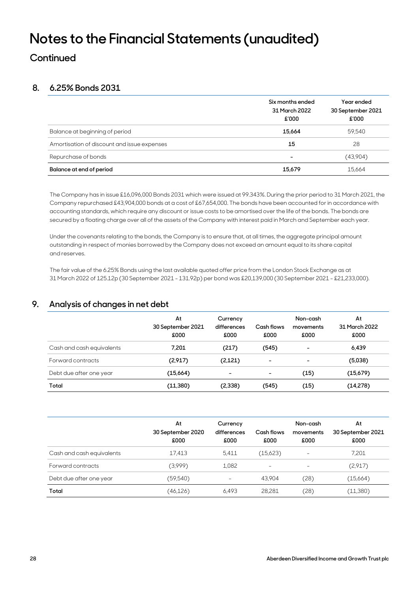## **Notes to the Financial Statements (unaudited)**

## **Continued**

## **8. 6.25% Bonds 2031**

|                                             | Six months ended<br>31 March 2022<br>£'000 | Year ended<br>30 September 2021<br>£'000 |
|---------------------------------------------|--------------------------------------------|------------------------------------------|
| Balance at beginning of period              | 15,664                                     | 59,540                                   |
| Amortisation of discount and issue expenses | 15                                         | 28                                       |
| Repurchase of bonds                         | -                                          | (43,904)                                 |
| Balance at end of period                    | 15,679                                     | 15,664                                   |

 The Company has in issue £16,096,000 Bonds 2031 which were issued at 99.343%. During the prior period to 31 March 2021, the Company repurchased £43,904,000 bonds at a cost of £67,654,000. The bonds have been accounted for in accordance with accounting standards, which require any discount or issue costs to be amortised over the life of the bonds. The bonds are secured by a floating charge over all of the assets of the Company with interest paid in March and September each year.

 Under the covenants relating to the bonds, the Company is to ensure that, at all times, the aggregate principal amount outstanding in respect of monies borrowed by the Company does not exceed an amount equal to its share capital and reserves.

 The fair value of the 6.25% Bonds using the last available quoted offer price from the London Stock Exchange as at 31 March 2022 of 125.12p (30 September 2021 - 131.92p) per bond was £20,139,000 (30 September 2021 - £21,233,000).

### **9. Analysis of changes in net debt**

|                           | At<br>30 September 2021<br>£000 | Currency<br>differences<br>£000 | Cash flows<br>£000       | Non-cash<br>movements<br>£000 | At<br>31 March 2022<br>£000 |
|---------------------------|---------------------------------|---------------------------------|--------------------------|-------------------------------|-----------------------------|
| Cash and cash equivalents | 7.201                           | (217)                           | (545)                    | ۰                             | 6,439                       |
| Forward contracts         | (2,917)                         | (2,121)                         | $\overline{\phantom{0}}$ | ۰                             | (5,038)                     |
| Debt due after one year   | (15,664)                        | $\overline{\phantom{0}}$        | ٠                        | (15)                          | (15,679)                    |
| Total                     | (11, 380)                       | (2,338)                         | (545)                    | (15)                          | (14, 278)                   |

|                           | At<br>30 September 2020<br>£000 | Currency<br>differences<br>£000 | Cash flows<br>£000 | Non-cash<br>movements<br>£000 | At<br>30 September 2021<br>£000 |
|---------------------------|---------------------------------|---------------------------------|--------------------|-------------------------------|---------------------------------|
| Cash and cash equivalents | 17,413                          | 5.411                           | (15,623)           | ۰                             | 7,201                           |
| Forward contracts         | (3,999)                         | 1.082                           |                    |                               | (2,917)                         |
| Debt due after one year   | (59, 540)                       | $\overline{\phantom{0}}$        | 43.904             | $^{\prime}28)$                | (15,664)                        |
| Total                     | (46,126)                        | 6.493                           | 28.281             | 28)                           | (11,380)                        |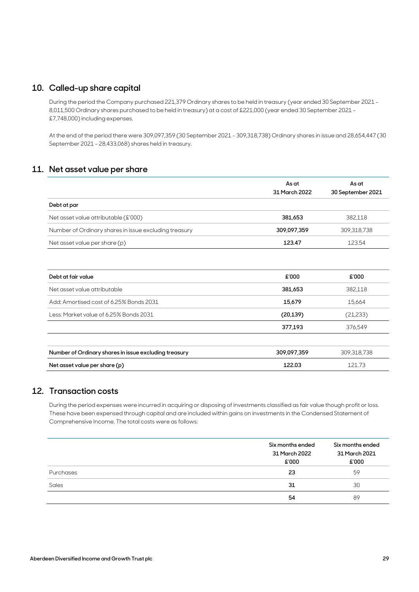### **10. Called-up share capital**

 During the period the Company purchased 221,379 Ordinary shares to be held in treasury (year ended 30 September 2021 - 8,011,500 Ordinary shares purchased to be held in treasury) at a cost of £221,000 (year ended 30 September 2021 - £7,748,000) including expenses.

 At the end of the period there were 309,097,359 (30 September 2021 - 309,318,738) Ordinary shares in issue and 28,654,447 (30 September 2021 - 28,433,068) shares held in treasury.

## **11. Net asset value per share**

|                                                       | As at<br>31 March 2022 | As at<br>30 September 2021 |
|-------------------------------------------------------|------------------------|----------------------------|
| Debt at par                                           |                        |                            |
| Net asset value attributable (£'000)                  | 381,653                | 382,118                    |
| Number of Ordinary shares in issue excluding treasury | 309,097,359            | 309,318,738                |
| Net asset value per share (p)                         | 123.47                 | 123.54                     |
|                                                       |                        |                            |
| Debt at fair value                                    | £'000                  | £'000                      |
| Net asset value attributable                          | 381,653                | 382,118                    |
| Add: Amortised cost of 6.25% Bonds 2031               | 15,679                 | 15,664                     |
| Less: Market value of 6.25% Bonds 2031                | (20, 139)              | (21, 233)                  |
|                                                       | 377,193                | 376,549                    |
|                                                       |                        |                            |
| Number of Ordinary shares in issue excluding treasury | 309,097,359            | 309,318,738                |
| Net asset value per share (p)                         | 122.03                 | 121.73                     |

### **12. Transaction costs**

 During the period expenses were incurred in acquiring or disposing of investments classified as fair value though profit or loss. These have been expensed through capital and are included within gains on investments in the Condensed Statement of Comprehensive Income. The total costs were as follows:

|           | Six months ended<br>31 March 2022<br>£'000 | Six months ended<br>31 March 2021<br>£'000 |
|-----------|--------------------------------------------|--------------------------------------------|
| Purchases | 23                                         | 59                                         |
| Sales     | 31                                         | 30                                         |
|           | 54                                         | 89                                         |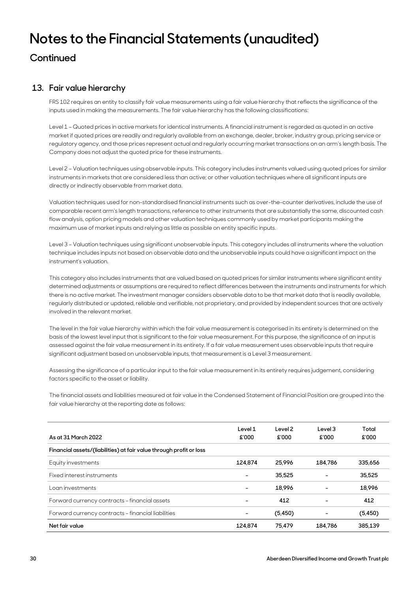## **Notes to the Financial Statements (unaudited)**

**Continued** 

## **13. Fair value hierarchy**

 FRS 102 requires an entity to classify fair value measurements using a fair value hierarchy that reflects the significance of the inputs used in making the measurements. The fair value hierarchy has the following classifications:

 Level 1 – Quoted prices in active markets for identical instruments. A financial instrument is regarded as quoted in an active market if quoted prices are readily and regularly available from an exchange, dealer, broker, industry group, pricing service or regulatory agency, and those prices represent actual and regularly occurring market transactions on an arm's length basis. The Company does not adjust the quoted price for these instruments.

 Level 2 – Valuation techniques using observable inputs. This category includes instruments valued using quoted prices for similar instruments in markets that are considered less than active; or other valuation techniques where all significant inputs are directly or indirectly observable from market data.

 Valuation techniques used for non-standardised financial instruments such as over-the-counter derivatives, include the use of comparable recent arm's length transactions, reference to other instruments that are substantially the same, discounted cash flow analysis, option pricing models and other valuation techniques commonly used by market participants making the maximum use of market inputs and relying as little as possible on entity specific inputs.

Level 3 – Valuation techniques using significant unobservable inputs. This category includes all instruments where the valuation technique includes inputs not based on observable data and the unobservable inputs could have a significant impact on the instrument's valuation.

 This category also includes instruments that are valued based on quoted prices for similar instruments where significant entity determined adjustments or assumptions are required to reflect differences between the instruments and instruments for which there is no active market. The investment manager considers observable data to be that market data that is readily available, regularly distributed or updated, reliable and verifiable, not proprietary, and provided by independent sources that are actively involved in the relevant market.

 The level in the fair value hierarchy within which the fair value measurement is categorised in its entirety is determined on the basis of the lowest level input that is significant to the fair value measurement. For this purpose, the significance of an input is assessed against the fair value measurement in its entirety. If a fair value measurement uses observable inputs that require significant adjustment based on unobservable inputs, that measurement is a Level 3 measurement.

 Assessing the significance of a particular input to the fair value measurement in its entirety requires judgement, considering factors specific to the asset or liability.

 The financial assets and liabilities measured at fair value in the Condensed Statement of Financial Position are grouped into the fair value hierarchy at the reporting date as follows:

| As at 31 March 2022                                                 | Level 1<br>£'000 | Level 2<br>£'000 | Level 3<br>£'000         | Total<br>£'000 |
|---------------------------------------------------------------------|------------------|------------------|--------------------------|----------------|
| Financial assets/(liabilities) at fair value through profit or loss |                  |                  |                          |                |
| Equity investments                                                  | 124.874          | 25,996           | 184.786                  | 335.656        |
| Fixed interest instruments                                          |                  | 35,525           |                          | 35,525         |
| Loan investments                                                    |                  | 18.996           |                          | 18.996         |
| Forward currency contracts - financial assets                       |                  | 412              | $\overline{\phantom{0}}$ | 412            |
| Forward currency contracts - financial liabilities                  |                  | (5,450)          |                          | (5,450)        |
| Net fair value                                                      | 124.874          | 75.479           | 184.786                  | 385.139        |
|                                                                     |                  |                  |                          |                |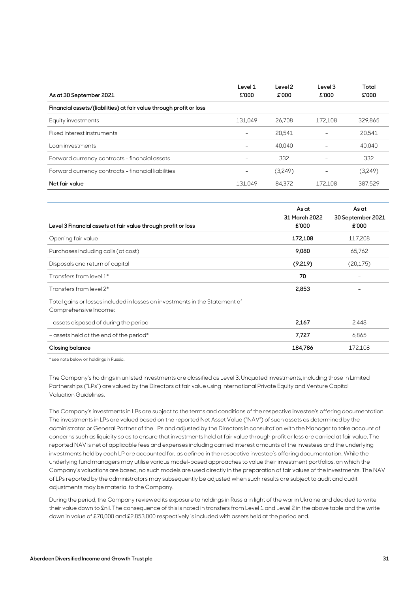| As at 30 September 2021                                             | Level 1<br>£'000 | Level 2<br>£'000 | Level 3<br>£'000         | Total<br>£'000 |
|---------------------------------------------------------------------|------------------|------------------|--------------------------|----------------|
| Financial assets/(liabilities) at fair value through profit or loss |                  |                  |                          |                |
| Equity investments                                                  | 131,049          | 26.708           | 172.108                  | 329.865        |
| Fixed interest instruments                                          |                  | 20.541           |                          | 20,541         |
| Loan investments                                                    |                  | 40.040           | $\overline{\phantom{0}}$ | 40.040         |
| Forward currency contracts - financial assets                       |                  | 332              |                          | 332            |
| Forward currency contracts - financial liabilities                  |                  | (3,249)          |                          | (3,249)        |
| Net fair value                                                      | 131.049          | 84.372           | 172.108                  | 387.529        |
|                                                                     |                  |                  |                          |                |

|                                                                             | As at         | As at             |
|-----------------------------------------------------------------------------|---------------|-------------------|
|                                                                             | 31 March 2022 | 30 September 2021 |
| Level 3 Financial assets at fair value through profit or loss               | £'000         | £'000             |
| Opening fair value                                                          | 172,108       | 117,208           |
| Purchases including calls (at cost)                                         | 9,080         | 65,762            |
| Disposals and return of capital                                             | (9,219)       | (20, 175)         |
| Transfers from level 1*                                                     | 70            |                   |
| Transfers from level 2*                                                     | 2,853         |                   |
| Total gains or losses included in losses on investments in the Statement of |               |                   |
| Comprehensive Income:                                                       |               |                   |
| - assets disposed of during the period                                      | 2,167         | 2,448             |
| - assets held at the end of the period*                                     | 7,727         | 6,865             |
| Closing balance                                                             | 184,786       | 172,108           |
|                                                                             |               |                   |

\* see note below on holdings in Russia.

 The Company's holdings in unlisted investments are classified as Level 3. Unquoted investments, including those in Limited Partnerships ("LPs") are valued by the Directors at fair value using International Private Equity and Venture Capital Valuation Guidelines.

 The Company's investments in LPs are subject to the terms and conditions of the respective investee's offering documentation. The investments in LPs are valued based on the reported Net Asset Value ("NAV") of such assets as determined by the administrator or General Partner of the LPs and adjusted by the Directors in consultation with the Manager to take account of concerns such as liquidity so as to ensure that investments held at fair value through profit or loss are carried at fair value. The reported NAV is net of applicable fees and expenses including carried interest amounts of the investees and the underlying investments held by each LP are accounted for, as defined in the respective investee's offering documentation. While the underlying fund managers may utilise various model-based approaches to value their investment portfolios, on which the Company's valuations are based, no such models are used directly in the preparation of fair values of the investments. The NAV of LPs reported by the administrators may subsequently be adjusted when such results are subject to audit and audit adjustments may be material to the Company.

 During the period, the Company reviewed its exposure to holdings in Russia in light of the war in Ukraine and decided to write their value down to £nil. The consequence of this is noted in transfers from Level 1 and Level 2 in the above table and the write down in value of £70,000 and £2,853,000 respectively is included with assets held at the period end.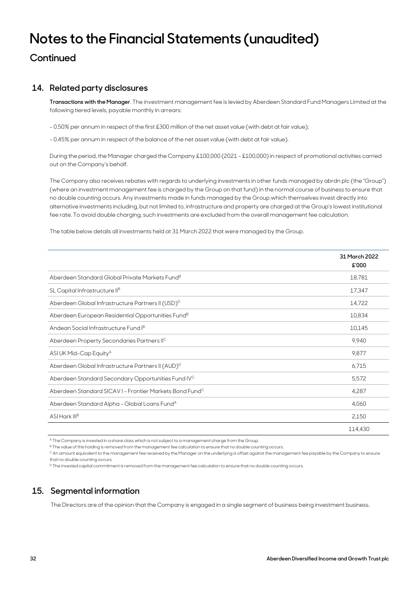## **Notes to the Financial Statements (unaudited)**

## **Continued**

### **14. Related party disclosures**

**Transactions with the Manager**. The investment management fee is levied by Aberdeen Standard Fund Managers Limited at the following tiered levels, payable monthly in arrears:

- 0.50% per annum in respect of the first £300 million of the net asset value (with debt at fair value);

- 0.45% per annum in respect of the balance of the net asset value (with debt at fair value).

 During the period, the Manager charged the Company £100,000 (2021 - £100,000) in respect of promotional activities carried out on the Company's behalf.

 The Company also receives rebates with regards to underlying investments in other funds managed by abrdn plc (the "Group") (where an investment management fee is charged by the Group on that fund) in the normal course of business to ensure that no double counting occurs. Any investments made in funds managed by the Group which themselves invest directly into alternative investments including, but not limited to, infrastructure and property are charged at the Group's lowest institutional fee rate. To avoid double charging, such investments are excluded from the overall management fee calculation.

The table below details all investments held at 31 March 2022 that were managed by the Group.

|                                                                     | 31 March 2022<br>£'000 |
|---------------------------------------------------------------------|------------------------|
| Aberdeen Standard Global Private Markets Fund <sup>B</sup>          | 18,781                 |
| SL Capital Infrastructure II <sup>B</sup>                           | 17,347                 |
| Aberdeen Global Infrastructure Partners II (USD) <sup>D</sup>       | 14,722                 |
| Aberdeen European Residential Opportunities Fund <sup>B</sup>       | 10,834                 |
| Andean Social Infrastructure Fund IB                                | 10,145                 |
| Aberdeen Property Secondaries Partners IIC                          | 9,940                  |
| ASI UK Mid-Cap Equity <sup>A</sup>                                  | 9,877                  |
| Aberdeen Global Infrastructure Partners II (AUD) <sup>D</sup>       | 6,715                  |
| Aberdeen Standard Secondary Opportunities Fund IVC                  | 5,572                  |
| Aberdeen Standard SICAV I - Frontier Markets Bond Fund <sup>C</sup> | 4,287                  |
| Aberdeen Standard Alpha - Global Loans Fund <sup>A</sup>            | 4,060                  |
| ASI Hark III <sup>B</sup>                                           | 2,150                  |
|                                                                     | 114,430                |

A The Company is invested in a share class which is not subject to a management charge from the Group.

 $B$  The value of this holding is removed from the management fee calculation to ensure that no double counting occurs.

C An amount equivalent to the management fee received by the Manager on the underlying is offset against the management fee payable by the Company to ensure that no double counting occurs.

D The invested capital commitment is removed from the management fee calculation to ensure that no double counting occurs.

### **15. Segmental information**

The Directors are of the opinion that the Company is engaged in a single segment of business being investment business.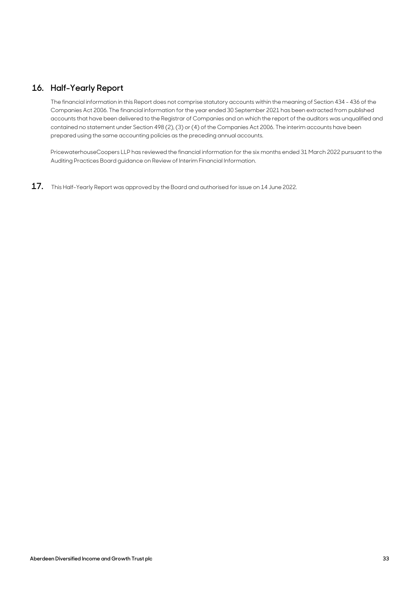### **16. Half-Yearly Report**

 The financial information in this Report does not comprise statutory accounts within the meaning of Section 434 - 436 of the Companies Act 2006. The financial information for the year ended 30 September 2021 has been extracted from published accounts that have been delivered to the Registrar of Companies and on which the report of the auditors was unqualified and contained no statement under Section 498 (2), (3) or (4) of the Companies Act 2006. The interim accounts have been prepared using the same accounting policies as the preceding annual accounts.

 PricewaterhouseCoopers LLP has reviewed the financial information for the six months ended 31 March 2022 pursuant to the Auditing Practices Board guidance on Review of Interim Financial Information.

**17.** This Half-Yearly Report was approved by the Board and authorised for issue on 14 June 2022.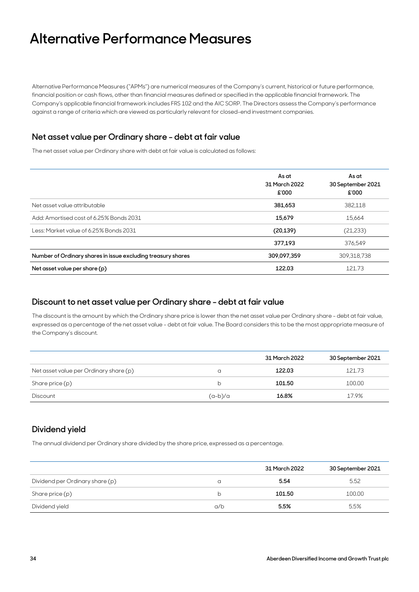## **Alternative Performance Measures**

Alternative Performance Measures ("APMs") are numerical measures of the Company's current, historical or future performance, financial position or cash flows, other than financial measures defined or specified in the applicable financial framework. The Company's applicable financial framework includes FRS 102 and the AIC SORP. The Directors assess the Company's performance against a range of criteria which are viewed as particularly relevant for closed-end investment companies.

### **Net asset value per Ordinary share - debt at fair value**

The net asset value per Ordinary share with debt at fair value is calculated as follows:

|                                                              | As at<br>31 March 2022<br>£'000 | As at<br>30 September 2021<br>£'000 |
|--------------------------------------------------------------|---------------------------------|-------------------------------------|
| Net asset value attributable                                 | 381.653                         | 382,118                             |
| Add: Amortised cost of 6.25% Bonds 2031                      | 15,679                          | 15,664                              |
| Less: Market value of 6.25% Bonds 2031                       | (20, 139)                       | (21, 233)                           |
|                                                              | 377.193                         | 376.549                             |
| Number of Ordinary shares in issue excluding treasury shares | 309,097,359                     | 309,318,738                         |
| Net asset value per share (p)                                | 122.03                          | 121.73                              |

### **Discount to net asset value per Ordinary share - debt at fair value**

The discount is the amount by which the Ordinary share price is lower than the net asset value per Ordinary share - debt at fair value, expressed as a percentage of the net asset value - debt at fair value. The Board considers this to be the most appropriate measure of the Company's discount.

|                                        |           | 31 March 2022 | 30 September 2021 |
|----------------------------------------|-----------|---------------|-------------------|
| Net asset value per Ordinary share (p) |           | 122.03        | 121.73            |
| Share price (p)                        |           | 101.50        | 100.00            |
| Discount                               | $(a-b)/a$ | 16.8%         | 17.9%             |

### **Dividend yield**

The annual dividend per Ordinary share divided by the share price, expressed as a percentage.

|                                 |     | 31 March 2022 | 30 September 2021 |
|---------------------------------|-----|---------------|-------------------|
| Dividend per Ordinary share (p) |     | 5.54          | 5.52              |
| Share price (p)                 | b   | 101.50        | 100.00            |
| Dividend yield                  | a/b | 5.5%          | 5.5%              |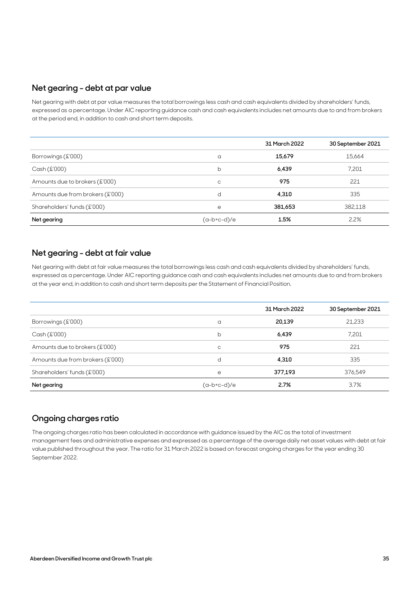### **Net gearing - debt at par value**

Net gearing with debt at par value measures the total borrowings less cash and cash equivalents divided by shareholders' funds, expressed as a percentage. Under AIC reporting guidance cash and cash equivalents includes net amounts due to and from brokers at the period end, in addition to cash and short term deposits.

|                                  |             | 31 March 2022 | 30 September 2021 |
|----------------------------------|-------------|---------------|-------------------|
| Borrowings (£'000)               | a           | 15,679        | 15,664            |
| Cash(E'000)                      | b           | 6,439         | 7,201             |
| Amounts due to brokers (£'000)   | C           | 975           | 221               |
| Amounts due from brokers (£'000) | d           | 4,310         | 335               |
| Shareholders' funds (£'000)      | е           | 381,653       | 382,118           |
| Net gearing                      | (a-b+c-d)/e | 1.5%          | 2.2%              |

### **Net gearing - debt at fair value**

Net gearing with debt at fair value measures the total borrowings less cash and cash equivalents divided by shareholders' funds, expressed as a percentage. Under AIC reporting guidance cash and cash equivalents includes net amounts due to and from brokers at the year end, in addition to cash and short term deposits per the Statement of Financial Position.

|                                  |             | 31 March 2022 | 30 September 2021 |
|----------------------------------|-------------|---------------|-------------------|
| Borrowings (£'000)               | a           | 20,139        | 21,233            |
| Cash (£'000)                     | b           | 6,439         | 7,201             |
| Amounts due to brokers (£'000)   | C           | 975           | 221               |
| Amounts due from brokers (£'000) | d           | 4,310         | 335               |
| Shareholders' funds (£'000)      | е           | 377,193       | 376,549           |
| Net gearing                      | (a-b+c-d)/e | 2.7%          | 3.7%              |

## **Ongoing charges ratio**

The ongoing charges ratio has been calculated in accordance with guidance issued by the AIC as the total of investment management fees and administrative expenses and expressed as a percentage of the average daily net asset values with debt at fair value published throughout the year. The ratio for 31 March 2022 is based on forecast ongoing charges for the year ending 30 September 2022.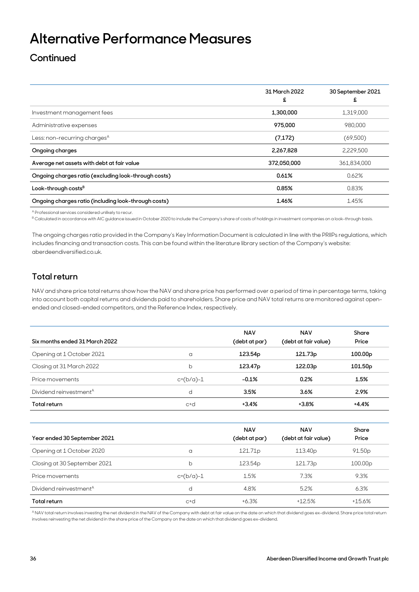## **Alternative Performance Measures**

## **Continued**

|                                                      | 31 March 2022<br>£ | 30 September 2021<br>£ |
|------------------------------------------------------|--------------------|------------------------|
| Investment management fees                           | 1,300,000          | 1,319,000              |
| Administrative expenses                              | 975,000            | 980,000                |
| Less: non-recurring charges <sup>A</sup>             | (7,172)            | (69, 500)              |
| Ongoing charges                                      | 2,267,828          | 2,229,500              |
| Average net assets with debt at fair value           | 372,050,000        | 361,834,000            |
| Ongoing charges ratio (excluding look-through costs) | 0.61%              | 0.62%                  |
| Look-through costs $B$                               | 0.85%              | 0.83%                  |
| Ongoing charges ratio (including look-through costs) | 1.46%              | 1.45%                  |

A Professional services considered unlikely to recur.

B Calculated in accordance with AIC guidance issued in October 2020 to include the Company's share of costs of holdings in investment companies on a look-through basis.

The ongoing charges ratio provided in the Company's Key Information Document is calculated in line with the PRIIPs regulations, which includes financing and transaction costs. This can be found within the literature library section of the Company's website: aberdeendiversified.co.uk.

## **Total return**

NAV and share price total returns show how the NAV and share price has performed over a period of time in percentage terms, taking into account both capital returns and dividends paid to shareholders. Share price and NAV total returns are monitored against openended and closed-ended competitors, and the Reference Index, respectively.

| Six months ended 31 March 2022     |             | <b>NAV</b><br>(debt at par) | <b>NAV</b><br>(debt at fair value) | Share<br>Price      |
|------------------------------------|-------------|-----------------------------|------------------------------------|---------------------|
| Opening at 1 October 2021          | a           | 123.54 <sub>p</sub>         | 121.73 <sub>p</sub>                | 100.00 <sub>p</sub> |
| Closing at 31 March 2022           | b           | 123.47 <sub>p</sub>         | 122.03 <sub>p</sub>                | 101.50 <sub>p</sub> |
| Price movements                    | $c=(b/a)-1$ | $-0.1%$                     | 0.2%                               | 1.5%                |
| Dividend reinvestment <sup>A</sup> | d           | 3.5%                        | 3.6%                               | 2.9%                |
| <b>Total return</b>                | c+d         | $+3.4%$                     | $+3.8%$                            | +4.4%               |

|                                    |             | <b>NAV</b><br>(debt at par) | <b>NAV</b><br>(debt at fair value) | Share<br>Price      |  |
|------------------------------------|-------------|-----------------------------|------------------------------------|---------------------|--|
| Year ended 30 September 2021       |             |                             |                                    |                     |  |
| Opening at 1 October 2020          | a           | 121.71 <sub>p</sub>         | 113.40 <sub>p</sub>                | 91.50 <sub>p</sub>  |  |
| Closing at 30 September 2021       | b           | 123.54 <sub>p</sub>         | 121.73 <sub>p</sub>                | 100.00 <sub>p</sub> |  |
| Price movements                    | $c=(b/a)-1$ | 1.5%                        | 7.3%                               | 9.3%                |  |
| Dividend reinvestment <sup>A</sup> | d           | 4.8%                        | 5.2%                               | 6.3%                |  |
| Total return                       | c+d         | $+6.3%$                     | $+12.5%$                           | $+15.6%$            |  |

A NAV total return involves investing the net dividend in the NAV of the Company with debt at fair value on the date on which that dividend goes ex-dividend. Share price total return involves reinvesting the net dividend in the share price of the Company on the date on which that dividend goes ex-dividend.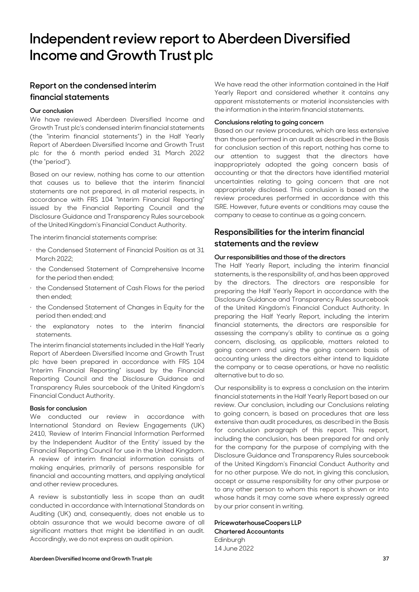## **Independent review report to Aberdeen Diversified Income and Growth Trust plc**

### **Report on the condensed interim financial statements**

#### **Our conclusion**

We have reviewed Aberdeen Diversified Income and Growth Trust plc's condensed interim financial statements (the "interim financial statements") in the Half Yearly Report of Aberdeen Diversified Income and Growth Trust plc for the 6 month period ended 31 March 2022 (the "period").

Based on our review, nothing has come to our attention that causes us to believe that the interim financial statements are not prepared, in all material respects, in accordance with FRS 104 "Interim Financial Reporting" issued by the Financial Reporting Council and the Disclosure Guidance and Transparency Rules sourcebook of the United Kingdom's Financial Conduct Authority.

The interim financial statements comprise:

- · the Condensed Statement of Financial Position as at 31 March 2022;
- · the Condensed Statement of Comprehensive Income for the period then ended;
- · the Condensed Statement of Cash Flows for the period then ended;
- · the Condensed Statement of Changes in Equity for the period then ended; and
- · the explanatory notes to the interim financial statements.

The interim financial statements included in the Half Yearly Report of Aberdeen Diversified Income and Growth Trust plc have been prepared in accordance with FRS 104 "Interim Financial Reporting" issued by the Financial Reporting Council and the Disclosure Guidance and Transparency Rules sourcebook of the United Kingdom's Financial Conduct Authority.

#### **Basis for conclusion**

We conducted our review in accordance with International Standard on Review Engagements (UK) 2410, 'Review of Interim Financial Information Performed by the Independent Auditor of the Entity' issued by the Financial Reporting Council for use in the United Kingdom. A review of interim financial information consists of making enquiries, primarily of persons responsible for financial and accounting matters, and applying analytical and other review procedures.

A review is substantially less in scope than an audit conducted in accordance with International Standards on Auditing (UK) and, consequently, does not enable us to obtain assurance that we would become aware of all significant matters that might be identified in an audit. Accordingly, we do not express an audit opinion.

We have read the other information contained in the Half Yearly Report and considered whether it contains any apparent misstatements or material inconsistencies with the information in the interim financial statements.

#### **Conclusions relating to going concern**

Based on our review procedures, which are less extensive than those performed in an audit as described in the Basis for conclusion section of this report, nothing has come to our attention to suggest that the directors have inappropriately adopted the going concern basis of accounting or that the directors have identified material uncertainties relating to going concern that are not appropriately disclosed. This conclusion is based on the review procedures performed in accordance with this ISRE. However, future events or conditions may cause the company to cease to continue as a going concern.

### **Responsibilities for the interim financial statements and the review**

#### **Our responsibilities and those of the directors**

The Half Yearly Report, including the interim financial statements, is the responsibility of, and has been approved by the directors. The directors are responsible for preparing the Half Yearly Report in accordance with the Disclosure Guidance and Transparency Rules sourcebook of the United Kingdom's Financial Conduct Authority. In preparing the Half Yearly Report, including the interim financial statements, the directors are responsible for assessing the company's ability to continue as a going concern, disclosing, as applicable, matters related to going concern and using the going concern basis of accounting unless the directors either intend to liquidate the company or to cease operations, or have no realistic alternative but to do so.

Our responsibility is to express a conclusion on the interim financial statements in the Half Yearly Report based on our review. Our conclusion, including our Conclusions relating to going concern, is based on procedures that are less extensive than audit procedures, as described in the Basis for conclusion paragraph of this report. This report, including the conclusion, has been prepared for and only for the company for the purpose of complying with the Disclosure Guidance and Transparency Rules sourcebook of the United Kingdom's Financial Conduct Authority and for no other purpose. We do not, in giving this conclusion, accept or assume responsibility for any other purpose or to any other person to whom this report is shown or into whose hands it may come save where expressly agreed by our prior consent in writing.

#### **PricewaterhouseCoopers LLP**

#### **Chartered Accountants**

**Edinburgh** 14 June 2022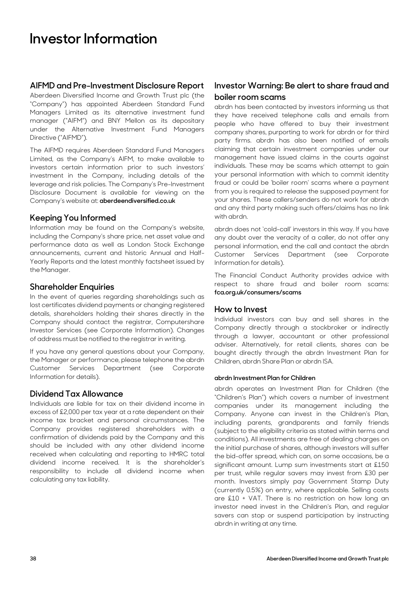## **Investor Information**

#### **AIFMD and Pre-Investment Disclosure Report**

Aberdeen Diversified Income and Growth Trust plc (the "Company") has appointed Aberdeen Standard Fund Managers Limited as its alternative investment fund manager ("AIFM") and BNY Mellon as its depositary under the Alternative Investment Fund Managers Directive ("AIFMD").

The AIFMD requires Aberdeen Standard Fund Managers Limited, as the Company's AIFM, to make available to investors certain information prior to such investors' investment in the Company, including details of the leverage and risk policies. The Company's Pre-Investment Disclosure Document is available for viewing on the Company's website at: **aberdeendiversified.co.uk** 

#### **Keeping You Informed**

Information may be found on the Company's website, including the Company's share price, net asset value and performance data as well as London Stock Exchange announcements, current and historic Annual and Half-Yearly Reports and the latest monthly factsheet issued by the Manager.

#### **Shareholder Enquiries**

In the event of queries regarding shareholdings such as lost certificates dividend payments or changing registered details, shareholders holding their shares directly in the Company should contact the registrar, Computershare Investor Services (see Corporate Information). Changes of address must be notified to the registrar in writing.

If you have any general questions about your Company, the Manager or performance, please telephone the abrdn Customer Services Department (see Corporate Information for details).

#### **Dividend Tax Allowance**

Individuals are liable for tax on their dividend income in excess of £2,000 per tax year at a rate dependent on their income tax bracket and personal circumstances. The Company provides registered shareholders with a confirmation of dividends paid by the Company and this should be included with any other dividend income received when calculating and reporting to HMRC total dividend income received. It is the shareholder's responsibility to include all dividend income when calculating any tax liability.

### **Investor Warning: Be alert to share fraud and boiler room scams**

abrdn has been contacted by investors informing us that they have received telephone calls and emails from people who have offered to buy their investment company shares, purporting to work for abrdn or for third party firms. abrdn has also been notified of emails claiming that certain investment companies under our management have issued claims in the courts against individuals. These may be scams which attempt to gain your personal information with which to commit identity fraud or could be 'boiler room' scams where a payment from you is required to release the supposed payment for your shares. These callers/senders do not work for abrdn and any third party making such offers/claims has no link with abrdn.

abrdn does not 'cold-call' investors in this way. If you have any doubt over the veracity of a caller, do not offer any personal information, end the call and contact the abrdn Customer Services Department (see Corporate Information for details).

The Financial Conduct Authority provides advice with respect to share fraud and boiler room scams: **fca.org.uk/consumers/scams**

#### **How to Invest**

Individual investors can buy and sell shares in the Company directly through a stockbroker or indirectly through a lawyer, accountant or other professional adviser. Alternatively, for retail clients, shares can be bought directly through the abrdn Investment Plan for Children, abrdn Share Plan or abrdn ISA.

#### **abrdn Investment Plan for Children**

abrdn operates an Investment Plan for Children (the "Children's Plan") which covers a number of investment companies under its management including the Company. Anyone can invest in the Children's Plan, including parents, grandparents and family friends (subject to the eligibility criteria as stated within terms and conditions). All investments are free of dealing charges on the initial purchase of shares, although investors will suffer the bid-offer spread, which can, on some occasions, be a significant amount. Lump sum investments start at £150 per trust, while regular savers may invest from £30 per month. Investors simply pay Government Stamp Duty (currently 0.5%) on entry, where applicable. Selling costs are £10 + VAT. There is no restriction on how long an investor need invest in the Children's Plan, and regular savers can stop or suspend participation by instructing abrdn in writing at any time.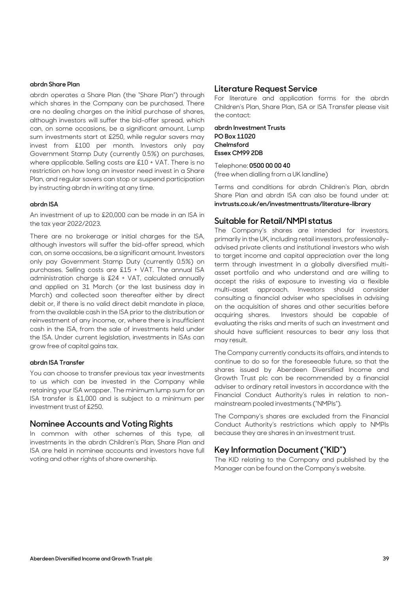#### **abrdn Share Plan**

abrdn operates a Share Plan (the "Share Plan") through which shares in the Company can be purchased. There are no dealing charges on the initial purchase of shares, although investors will suffer the bid-offer spread, which can, on some occasions, be a significant amount. Lump sum investments start at £250, while regular savers may invest from £100 per month. Investors only pay Government Stamp Duty (currently 0.5%) on purchases, where applicable. Selling costs are £10 + VAT. There is no restriction on how long an investor need invest in a Share Plan, and regular savers can stop or suspend participation by instructing abrdn in writing at any time.

#### **abrdn ISA**

An investment of up to £20,000 can be made in an ISA in the tax year 2022/2023.

There are no brokerage or initial charges for the ISA. although investors will suffer the bid-offer spread, which can, on some occasions, be a significant amount. Investors only pay Government Stamp Duty (currently 0.5%) on purchases. Selling costs are £15 + VAT. The annual ISA administration charge is £24 + VAT, calculated annually and applied on 31 March (or the last business day in March) and collected soon thereafter either by direct debit or, if there is no valid direct debit mandate in place, from the available cash in the ISA prior to the distribution or reinvestment of any income, or, where there is insufficient cash in the ISA, from the sale of investments held under the ISA. Under current legislation, investments in ISAs can grow free of capital gains tax.

#### **abrdn ISA Transfer**

You can choose to transfer previous tax year investments to us which can be invested in the Company while retaining your ISA wrapper. The minimum lump sum for an ISA transfer is £1,000 and is subject to a minimum per investment trust of £250.

#### **Nominee Accounts and Voting Rights**

In common with other schemes of this type, all investments in the abrdn Children's Plan, Share Plan and ISA are held in nominee accounts and investors have full voting and other rights of share ownership.

#### **Literature Request Service**

For literature and application forms for the abrdn Children's Plan, Share Plan, ISA or ISA Transfer please visit the contact:

**abrdn Investment Trusts PO Box 11020 Chelmsford Essex CM99 2DB** 

#### Telephone: **0500 00 00 40**

(free when dialling from a UK landline)

Terms and conditions for abrdn Children's Plan, abrdn Share Plan and abrdn ISA can also be found under at: **invtrusts.co.uk/en/investmenttrusts/literature-library**

#### **Suitable for Retail/NMPI status**

The Company's shares are intended for investors, primarily in the UK, including retail investors, professionallyadvised private clients and institutional investors who wish to target income and capital appreciation over the long term through investment in a globally diversified multiasset portfolio and who understand and are willing to accept the risks of exposure to investing via a flexible multi-asset approach. Investors should consider consulting a financial adviser who specialises in advising on the acquisition of shares and other securities before acquiring shares. Investors should be capable of evaluating the risks and merits of such an investment and should have sufficient resources to bear any loss that may result.

The Company currently conducts its affairs, and intends to continue to do so for the foreseeable future, so that the shares issued by Aberdeen Diversified Income and Growth Trust plc can be recommended by a financial adviser to ordinary retail investors in accordance with the Financial Conduct Authority's rules in relation to nonmainstream pooled investments ("NMPIs").

The Company's shares are excluded from the Financial Conduct Authority's restrictions which apply to NMPIs because they are shares in an investment trust.

#### **Key Information Document ("KID")**

The KID relating to the Company and published by the Manager can be found on the Company's website.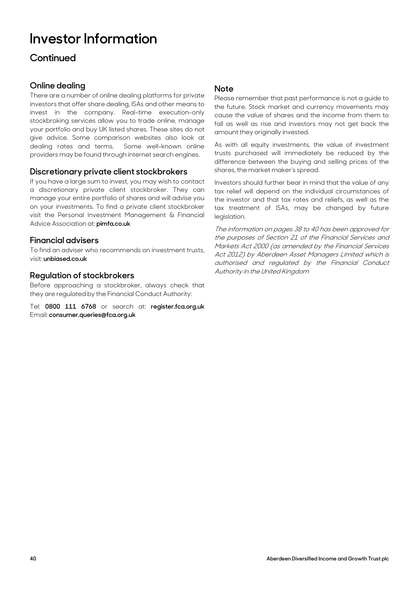## **Investor Information**

## **Continued**

### **Online dealing**

There are a number of online dealing platforms for private investors that offer share dealing, ISAs and other means to invest in the company. Real-time execution-only stockbroking services allow you to trade online, manage your portfolio and buy UK listed shares. These sites do not give advice. Some comparison websites also look at dealing rates and terms. Some well-known online providers may be found through internet search engines.

#### **Discretionary private client stockbrokers**

If you have a large sum to invest, you may wish to contact a discretionary private client stockbroker. They can manage your entire portfolio of shares and will advise you on your investments. To find a private client stockbroker visit the Personal Investment Management & Financial Advice Association at: **pimfa.co.uk**

#### **Financial advisers**

To find an adviser who recommends on investment trusts, visit: **unbiased.co.uk**

### **Regulation of stockbrokers**

Before approaching a stockbroker, always check that they are regulated by the Financial Conduct Authority:

Tel: **0800 111 6768** or search at: **register.fca.org.uk** Email: **consumer.queries@fca.org.uk**

### **Note**

Please remember that past performance is not a guide to the future. Stock market and currency movements may cause the value of shares and the income from them to fall as well as rise and investors may not get back the amount they originally invested.

As with all equity investments, the value of investment trusts purchased will immediately be reduced by the difference between the buying and selling prices of the shares, the market maker's spread.

Investors should further bear in mind that the value of any tax relief will depend on the individual circumstances of the investor and that tax rates and reliefs, as well as the tax treatment of ISAs, may be changed by future legislation.

The information on pages 38 to 40 has been approved for the purposes of Section 21 of the Financial Services and Markets Act 2000 (as amended by the Financial Services Act 2012) by Aberdeen Asset Managers Limited which is authorised and regulated by the Financial Conduct Authority in the United Kingdom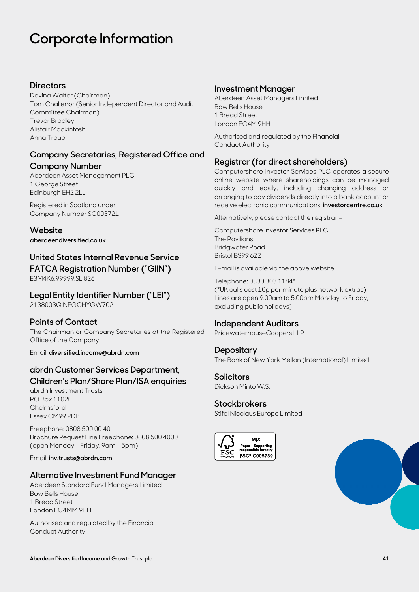## **Corporate Information**

### **Directors**

Davina Walter (Chairman) Tom Challenor (Senior Independent Director and Audit Committee Chairman) Trevor Bradley Alistair Mackintosh Anna Troup

### **Company Secretaries, Registered Office and Company Number**

Aberdeen Asset Management PLC 1 George Street Edinburgh EH2 2LL

Registered in Scotland under Company Number SC003721

**Website aberdeendiversified.co.uk**

## **United States Internal Revenue Service FATCA Registration Number ("GIIN")**

E3M4K6.99999.SL.826

## **Legal Entity Identifier Number ("LEI")**

2138003QINEGCHYGW702

## **Points of Contact**

The Chairman or Company Secretaries at the Registered Office of the Company

Email: **diversified.income@abrdn.com**

## **abrdn Customer Services Department,**

### **Children's Plan/Share Plan/ISA enquiries**

abrdn Investment Trusts PO Box 11020 Chelmsford Essex CM99 2DB

Freephone: 0808 500 00 40 Brochure Request Line Freephone: 0808 500 4000 (open Monday – Friday, 9am – 5pm)

Email: **inv.trusts@abrdn.com**

### **Alternative Investment Fund Manager**

Aberdeen Standard Fund Managers Limited Bow Bells House 1 Bread Street London EC4MM 9HH

Authorised and regulated by the Financial Conduct Authority

#### **Investment Manager**

Aberdeen Asset Managers Limited Bow Bells House 1 Bread Street London EC4M 9HH

Authorised and regulated by the Financial Conduct Authority

### **Registrar (for direct shareholders)**

Computershare Investor Services PLC operates a secure online website where shareholdings can be managed quickly and easily, including changing address or arranging to pay dividends directly into a bank account or receive electronic communications: **investorcentre.co.uk**

Alternatively, please contact the registrar -

Computershare Investor Services PLC The Pavilions Bridgwater Road Bristol BS99 6ZZ

E-mail is available via the above website

Telephone: 0330 303 1184\* (\*UK calls cost 10p per minute plus network extras) Lines are open 9.00am to 5.00pm Monday to Friday, excluding public holidays)

#### **Independent Auditors**

PricewaterhouseCoopers LLP

#### **Depositary**  The Bank of New York Mellon (International) Limited

## **Solicitors**

Dickson Minto W.S.

#### **Stockbrokers**

Stifel Nicolaus Europe Limited